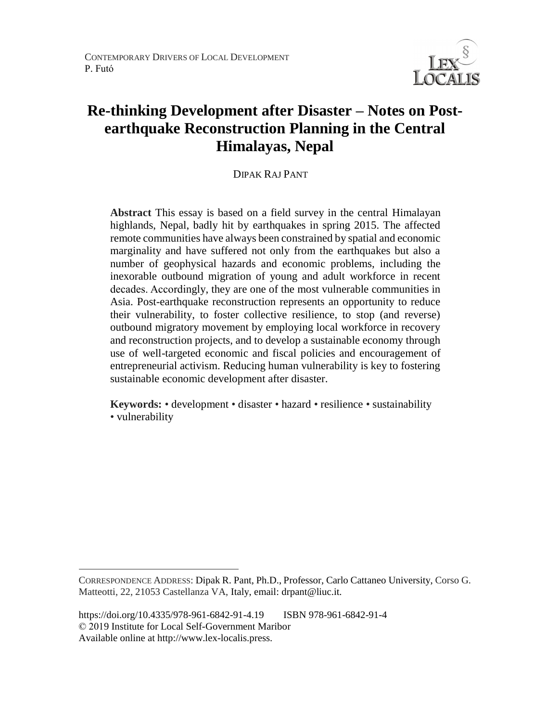

# **Re-thinking Development after Disaster – Notes on Postearthquake Reconstruction Planning in the Central Himalayas, Nepal**

DIPAK RAJ PANT

**Abstract** This essay is based on a field survey in the central Himalayan highlands, Nepal, badly hit by earthquakes in spring 2015. The affected remote communities have always been constrained by spatial and economic marginality and have suffered not only from the earthquakes but also a number of geophysical hazards and economic problems, including the inexorable outbound migration of young and adult workforce in recent decades. Accordingly, they are one of the most vulnerable communities in Asia. Post-earthquake reconstruction represents an opportunity to reduce their vulnerability, to foster collective resilience, to stop (and reverse) outbound migratory movement by employing local workforce in recovery and reconstruction projects, and to develop a sustainable economy through use of well-targeted economic and fiscal policies and encouragement of entrepreneurial activism. Reducing human vulnerability is key to fostering sustainable economic development after disaster.

**Keywords:** • development • disaster • hazard • resilience • sustainability • vulnerability

 $\overline{a}$ 

CORRESPONDENCE ADDRESS: Dipak R. Pant, Ph.D., Professor, Carlo Cattaneo University, Corso G. Matteotti, 22, 21053 Castellanza VA, Italy, email: drpant@liuc.it.

https://doi.org/10.4335/978-961-6842-91-4.19 ISBN 978-961-6842-91-4 © 2019 Institute for Local Self-Government Maribor Available online at http://www.lex-localis.press.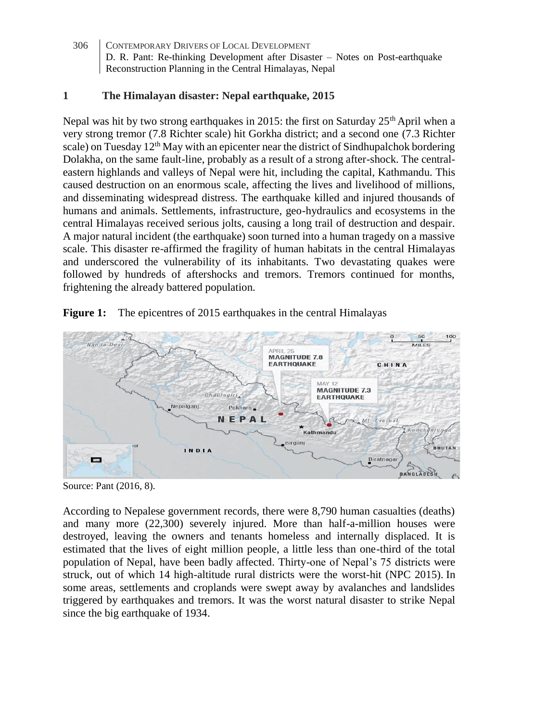### **1 The Himalayan disaster: Nepal earthquake, 2015**

Nepal was hit by two strong earthquakes in 2015: the first on Saturday  $25<sup>th</sup>$  April when a very strong tremor (7.8 Richter scale) hit Gorkha district; and a second one (7.3 Richter scale) on Tuesday  $12<sup>th</sup>$  May with an epicenter near the district of Sindhupalchok bordering Dolakha, on the same fault-line, probably as a result of a strong after-shock. The centraleastern highlands and valleys of Nepal were hit, including the capital, Kathmandu. This caused destruction on an enormous scale, affecting the lives and livelihood of millions, and disseminating widespread distress. The earthquake killed and injured thousands of humans and animals. Settlements, infrastructure, geo-hydraulics and ecosystems in the central Himalayas received serious jolts, causing a long trail of destruction and despair. A major natural incident (the earthquake) soon turned into a human tragedy on a massive scale. This disaster re-affirmed the fragility of human habitats in the central Himalayas and underscored the vulnerability of its inhabitants. Two devastating quakes were followed by hundreds of aftershocks and tremors. Tremors continued for months, frightening the already battered population.



**Figure 1:** The epicentres of 2015 earthquakes in the central Himalayas

Source: Pant (2016, 8).

According to Nepalese government records, there were 8,790 human casualties (deaths) and many more (22,300) severely injured. More than half-a-million houses were destroyed, leaving the owners and tenants homeless and internally displaced. It is estimated that the lives of eight million people, a little less than one-third of the total population of Nepal, have been badly affected. Thirty-one of Nepal's 75 districts were struck, out of which 14 high-altitude rural districts were the worst-hit (NPC 2015). In some areas, settlements and croplands were swept away by avalanches and landslides triggered by earthquakes and tremors. It was the worst natural disaster to strike Nepal since the big earthquake of 1934.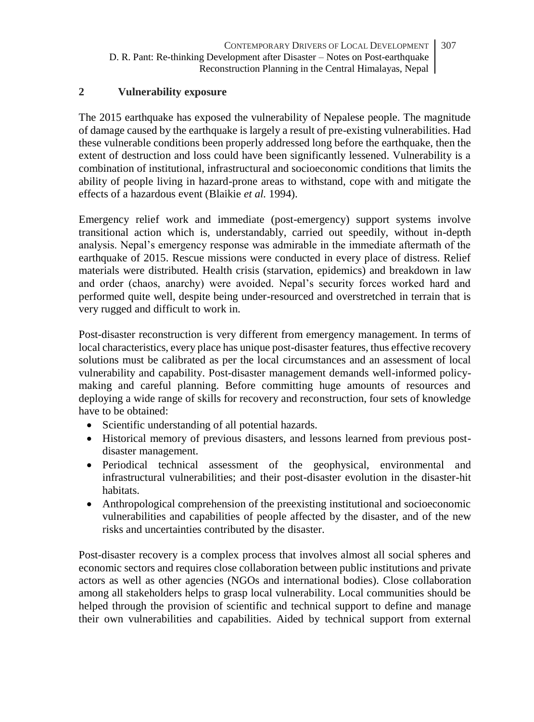### **2 Vulnerability exposure**

The 2015 earthquake has exposed the vulnerability of Nepalese people. The magnitude of damage caused by the earthquake is largely a result of pre-existing vulnerabilities. Had these vulnerable conditions been properly addressed long before the earthquake, then the extent of destruction and loss could have been significantly lessened. Vulnerability is a combination of institutional, infrastructural and socioeconomic conditions that limits the ability of people living in hazard-prone areas to withstand, cope with and mitigate the effects of a hazardous event (Blaikie *et al.* 1994).

Emergency relief work and immediate (post-emergency) support systems involve transitional action which is, understandably, carried out speedily, without in-depth analysis. Nepal's emergency response was admirable in the immediate aftermath of the earthquake of 2015. Rescue missions were conducted in every place of distress. Relief materials were distributed. Health crisis (starvation, epidemics) and breakdown in law and order (chaos, anarchy) were avoided. Nepal's security forces worked hard and performed quite well, despite being under-resourced and overstretched in terrain that is very rugged and difficult to work in.

Post-disaster reconstruction is very different from emergency management. In terms of local characteristics, every place has unique post-disaster features, thus effective recovery solutions must be calibrated as per the local circumstances and an assessment of local vulnerability and capability. Post-disaster management demands well-informed policymaking and careful planning. Before committing huge amounts of resources and deploying a wide range of skills for recovery and reconstruction, four sets of knowledge have to be obtained:

- Scientific understanding of all potential hazards.
- Historical memory of previous disasters, and lessons learned from previous postdisaster management.
- Periodical technical assessment of the geophysical, environmental and infrastructural vulnerabilities; and their post-disaster evolution in the disaster-hit habitats.
- Anthropological comprehension of the preexisting institutional and socioeconomic vulnerabilities and capabilities of people affected by the disaster, and of the new risks and uncertainties contributed by the disaster.

Post-disaster recovery is a complex process that involves almost all social spheres and economic sectors and requires close collaboration between public institutions and private actors as well as other agencies (NGOs and international bodies). Close collaboration among all stakeholders helps to grasp local vulnerability. Local communities should be helped through the provision of scientific and technical support to define and manage their own vulnerabilities and capabilities. Aided by technical support from external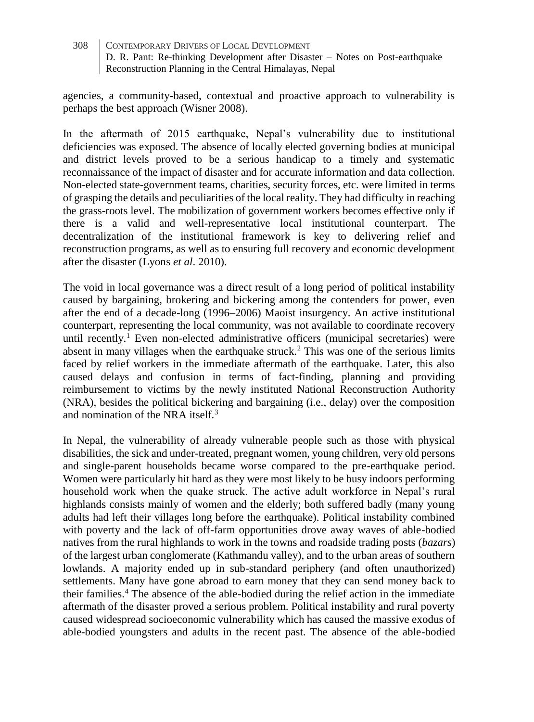agencies, a community-based, contextual and proactive approach to vulnerability is perhaps the best approach (Wisner 2008).

In the aftermath of 2015 earthquake, Nepal's vulnerability due to institutional deficiencies was exposed. The absence of locally elected governing bodies at municipal and district levels proved to be a serious handicap to a timely and systematic reconnaissance of the impact of disaster and for accurate information and data collection. Non-elected state-government teams, charities, security forces, etc. were limited in terms of grasping the details and peculiarities of the local reality. They had difficulty in reaching the grass-roots level. The mobilization of government workers becomes effective only if there is a valid and well-representative local institutional counterpart. The decentralization of the institutional framework is key to delivering relief and reconstruction programs, as well as to ensuring full recovery and economic development after the disaster (Lyons *et al*. 2010).

The void in local governance was a direct result of a long period of political instability caused by bargaining, brokering and bickering among the contenders for power, even after the end of a decade-long (1996–2006) Maoist insurgency. An active institutional counterpart, representing the local community, was not available to coordinate recovery until recently.<sup>1</sup> Even non-elected administrative officers (municipal secretaries) were absent in many villages when the earthquake struck.<sup>2</sup> This was one of the serious limits faced by relief workers in the immediate aftermath of the earthquake. Later, this also caused delays and confusion in terms of fact-finding, planning and providing reimbursement to victims by the newly instituted National Reconstruction Authority (NRA), besides the political bickering and bargaining (i.e., delay) over the composition and nomination of the NRA itself.<sup>3</sup>

In Nepal, the vulnerability of already vulnerable people such as those with physical disabilities, the sick and under-treated, pregnant women, young children, very old persons and single-parent households became worse compared to the pre-earthquake period. Women were particularly hit hard as they were most likely to be busy indoors performing household work when the quake struck. The active adult workforce in Nepal's rural highlands consists mainly of women and the elderly; both suffered badly (many young adults had left their villages long before the earthquake). Political instability combined with poverty and the lack of off-farm opportunities drove away waves of able-bodied natives from the rural highlands to work in the towns and roadside trading posts (*bazars*) of the largest urban conglomerate (Kathmandu valley), and to the urban areas of southern lowlands. A majority ended up in sub-standard periphery (and often unauthorized) settlements. Many have gone abroad to earn money that they can send money back to their families.<sup>4</sup> The absence of the able-bodied during the relief action in the immediate aftermath of the disaster proved a serious problem. Political instability and rural poverty caused widespread socioeconomic vulnerability which has caused the massive exodus of able-bodied youngsters and adults in the recent past. The absence of the able-bodied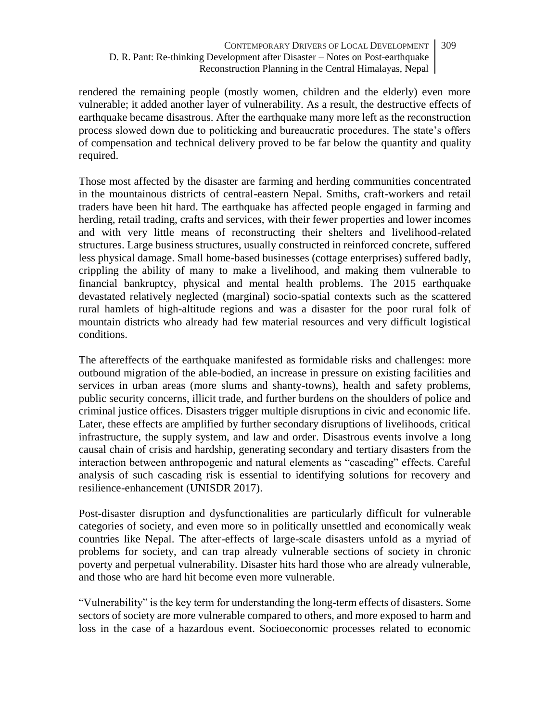rendered the remaining people (mostly women, children and the elderly) even more vulnerable; it added another layer of vulnerability. As a result, the destructive effects of earthquake became disastrous. After the earthquake many more left as the reconstruction process slowed down due to politicking and bureaucratic procedures. The state's offers of compensation and technical delivery proved to be far below the quantity and quality required.

Those most affected by the disaster are farming and herding communities concentrated in the mountainous districts of central-eastern Nepal. Smiths, craft-workers and retail traders have been hit hard. The earthquake has affected people engaged in farming and herding, retail trading, crafts and services, with their fewer properties and lower incomes and with very little means of reconstructing their shelters and livelihood-related structures. Large business structures, usually constructed in reinforced concrete, suffered less physical damage. Small home-based businesses (cottage enterprises) suffered badly, crippling the ability of many to make a livelihood, and making them vulnerable to financial bankruptcy, physical and mental health problems. The 2015 earthquake devastated relatively neglected (marginal) socio-spatial contexts such as the scattered rural hamlets of high-altitude regions and was a disaster for the poor rural folk of mountain districts who already had few material resources and very difficult logistical conditions.

The aftereffects of the earthquake manifested as formidable risks and challenges: more outbound migration of the able-bodied, an increase in pressure on existing facilities and services in urban areas (more slums and shanty-towns), health and safety problems, public security concerns, illicit trade, and further burdens on the shoulders of police and criminal justice offices. Disasters trigger multiple disruptions in civic and economic life. Later, these effects are amplified by further secondary disruptions of livelihoods, critical infrastructure, the supply system, and law and order. Disastrous events involve a long causal chain of crisis and hardship, generating secondary and tertiary disasters from the interaction between anthropogenic and natural elements as "cascading" effects. Careful analysis of such cascading risk is essential to identifying solutions for recovery and resilience-enhancement (UNISDR 2017).

Post-disaster disruption and dysfunctionalities are particularly difficult for vulnerable categories of society, and even more so in politically unsettled and economically weak countries like Nepal. The after-effects of large-scale disasters unfold as a myriad of problems for society, and can trap already vulnerable sections of society in chronic poverty and perpetual vulnerability. Disaster hits hard those who are already vulnerable, and those who are hard hit become even more vulnerable.

"Vulnerability" is the key term for understanding the long-term effects of disasters. Some sectors of society are more vulnerable compared to others, and more exposed to harm and loss in the case of a hazardous event. Socioeconomic processes related to economic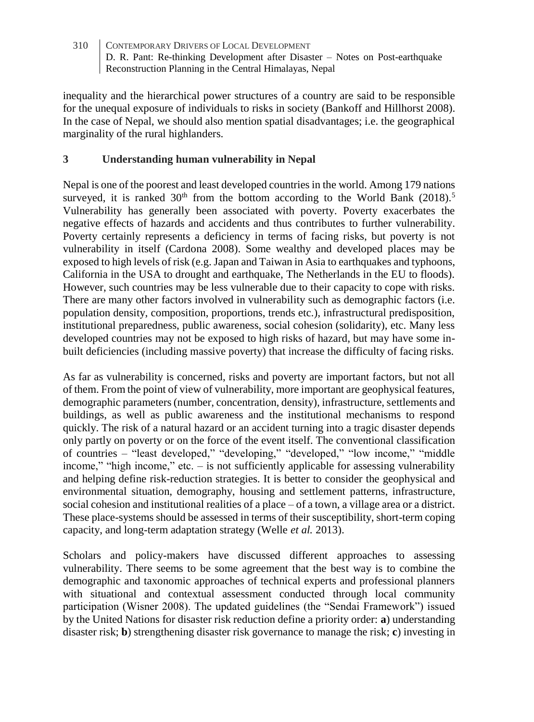inequality and the hierarchical power structures of a country are said to be responsible for the unequal exposure of individuals to risks in society (Bankoff and Hillhorst 2008). In the case of Nepal, we should also mention spatial disadvantages; i.e. the geographical marginality of the rural highlanders.

### **3 Understanding human vulnerability in Nepal**

Nepal is one of the poorest and least developed countries in the world. Among 179 nations surveyed, it is ranked  $30<sup>th</sup>$  from the bottom according to the World Bank (2018).<sup>5</sup> Vulnerability has generally been associated with poverty. Poverty exacerbates the negative effects of hazards and accidents and thus contributes to further vulnerability. Poverty certainly represents a deficiency in terms of facing risks, but poverty is not vulnerability in itself (Cardona 2008). Some wealthy and developed places may be exposed to high levels of risk (e.g. Japan and Taiwan in Asia to earthquakes and typhoons, California in the USA to drought and earthquake, The Netherlands in the EU to floods). However, such countries may be less vulnerable due to their capacity to cope with risks. There are many other factors involved in vulnerability such as demographic factors (i.e. population density, composition, proportions, trends etc.), infrastructural predisposition, institutional preparedness, public awareness, social cohesion (solidarity), etc. Many less developed countries may not be exposed to high risks of hazard, but may have some inbuilt deficiencies (including massive poverty) that increase the difficulty of facing risks.

As far as vulnerability is concerned, risks and poverty are important factors, but not all of them. From the point of view of vulnerability, more important are geophysical features, demographic parameters (number, concentration, density), infrastructure, settlements and buildings, as well as public awareness and the institutional mechanisms to respond quickly. The risk of a natural hazard or an accident turning into a tragic disaster depends only partly on poverty or on the force of the event itself. The conventional classification of countries – "least developed," "developing," "developed," "low income," "middle income," "high income," etc. – is not sufficiently applicable for assessing vulnerability and helping define risk-reduction strategies. It is better to consider the geophysical and environmental situation, demography, housing and settlement patterns, infrastructure, social cohesion and institutional realities of a place – of a town, a village area or a district. These place-systems should be assessed in terms of their susceptibility, short-term coping capacity, and long-term adaptation strategy (Welle *et al.* 2013).

Scholars and policy-makers have discussed different approaches to assessing vulnerability. There seems to be some agreement that the best way is to combine the demographic and taxonomic approaches of technical experts and professional planners with situational and contextual assessment conducted through local community participation (Wisner 2008). The updated guidelines (the "Sendai Framework") issued by the United Nations for disaster risk reduction define a priority order: **a**) understanding disaster risk; **b**) strengthening disaster risk governance to manage the risk; **c**) investing in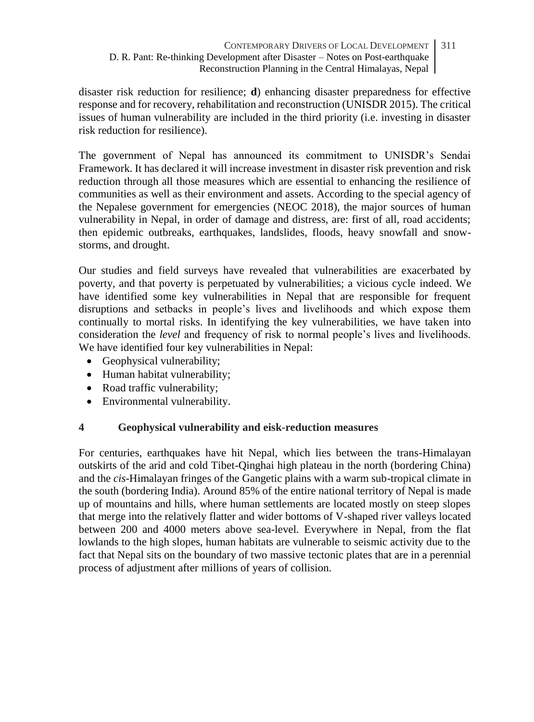disaster risk reduction for resilience; **d**) enhancing disaster preparedness for effective response and for recovery, rehabilitation and reconstruction (UNISDR 2015). The critical issues of human vulnerability are included in the third priority (i.e. investing in disaster risk reduction for resilience).

The government of Nepal has announced its commitment to UNISDR's Sendai Framework. It has declared it will increase investment in disaster risk prevention and risk reduction through all those measures which are essential to enhancing the resilience of communities as well as their environment and assets. According to the special agency of the Nepalese government for emergencies (NEOC 2018), the major sources of human vulnerability in Nepal, in order of damage and distress, are: first of all, road accidents; then epidemic outbreaks, earthquakes, landslides, floods, heavy snowfall and snowstorms, and drought.

Our studies and field surveys have revealed that vulnerabilities are exacerbated by poverty, and that poverty is perpetuated by vulnerabilities; a vicious cycle indeed. We have identified some key vulnerabilities in Nepal that are responsible for frequent disruptions and setbacks in people's lives and livelihoods and which expose them continually to mortal risks. In identifying the key vulnerabilities, we have taken into consideration the *level* and frequency of risk to normal people's lives and livelihoods. We have identified four key vulnerabilities in Nepal:

- Geophysical vulnerability;
- Human habitat vulnerability;
- Road traffic vulnerability:
- Environmental vulnerability.

### **4 Geophysical vulnerability and eisk-reduction measures**

For centuries, earthquakes have hit Nepal, which lies between the trans-Himalayan outskirts of the arid and cold Tibet-Qinghai high plateau in the north (bordering China) and the *cis*-Himalayan fringes of the Gangetic plains with a warm sub-tropical climate in the south (bordering India). Around 85% of the entire national territory of Nepal is made up of mountains and hills, where human settlements are located mostly on steep slopes that merge into the relatively flatter and wider bottoms of V-shaped river valleys located between 200 and 4000 meters above sea-level. Everywhere in Nepal, from the flat lowlands to the high slopes, human habitats are vulnerable to seismic activity due to the fact that Nepal sits on the boundary of two massive tectonic plates that are in a perennial process of adjustment after millions of years of collision.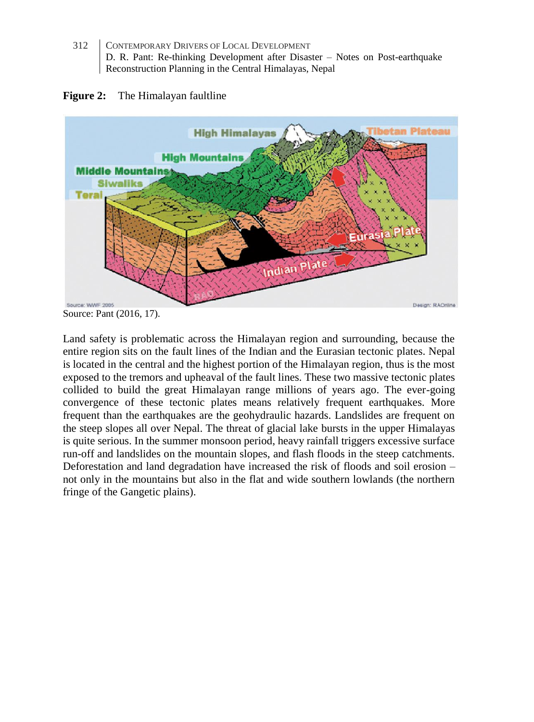



Source: Pant (2016, 17).

Land safety is problematic across the Himalayan region and surrounding, because the entire region sits on the fault lines of the Indian and the Eurasian tectonic plates. Nepal is located in the central and the highest portion of the Himalayan region, thus is the most exposed to the tremors and upheaval of the fault lines. These two massive tectonic plates collided to build the great Himalayan range millions of years ago. The ever-going convergence of these tectonic plates means relatively frequent earthquakes. More frequent than the earthquakes are the geohydraulic hazards. Landslides are frequent on the steep slopes all over Nepal. The threat of glacial lake bursts in the upper Himalayas is quite serious. In the summer monsoon period, heavy rainfall triggers excessive surface run-off and landslides on the mountain slopes, and flash floods in the steep catchments. Deforestation and land degradation have increased the risk of floods and soil erosion – not only in the mountains but also in the flat and wide southern lowlands (the northern fringe of the Gangetic plains).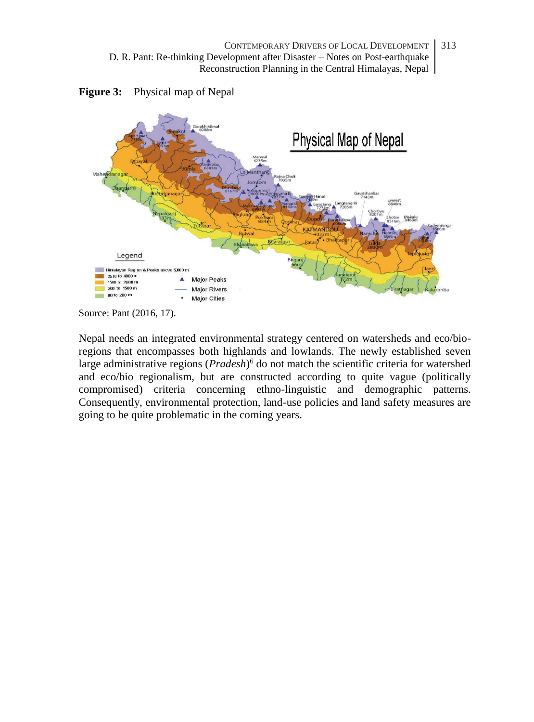

**Figure 3:** Physical map of Nepal

Source: Pant (2016, 17).

Nepal needs an integrated environmental strategy centered on watersheds and eco/bioregions that encompasses both highlands and lowlands. The newly established seven large administrative regions (*Pradesh*) <sup>6</sup> do not match the scientific criteria for watershed and eco/bio regionalism, but are constructed according to quite vague (politically compromised) criteria concerning ethno-linguistic and demographic patterns. Consequently, environmental protection, land-use policies and land safety measures are going to be quite problematic in the coming years.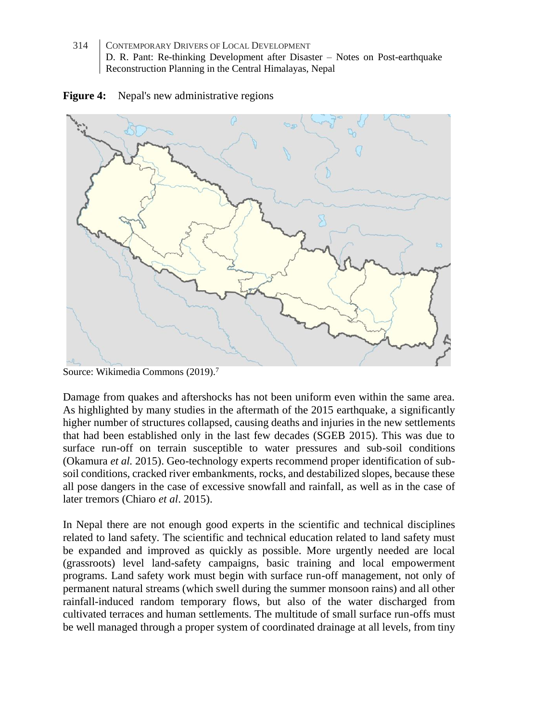

**Figure 4:** Nepal's new administrative regions

Damage from quakes and aftershocks has not been uniform even within the same area. As highlighted by many studies in the aftermath of the 2015 earthquake, a significantly higher number of structures collapsed, causing deaths and injuries in the new settlements that had been established only in the last few decades (SGEB 2015). This was due to surface run-off on terrain susceptible to water pressures and sub-soil conditions (Okamura *et al.* 2015). Geo-technology experts recommend proper identification of subsoil conditions, cracked river embankments, rocks, and destabilized slopes, because these all pose dangers in the case of excessive snowfall and rainfall, as well as in the case of later tremors (Chiaro *et al*. 2015).

In Nepal there are not enough good experts in the scientific and technical disciplines related to land safety. The scientific and technical education related to land safety must be expanded and improved as quickly as possible. More urgently needed are local (grassroots) level land-safety campaigns, basic training and local empowerment programs. Land safety work must begin with surface run-off management, not only of permanent natural streams (which swell during the summer monsoon rains) and all other rainfall-induced random temporary flows, but also of the water discharged from cultivated terraces and human settlements. The multitude of small surface run-offs must be well managed through a proper system of coordinated drainage at all levels, from tiny

Source: Wikimedia Commons (2019).<sup>7</sup>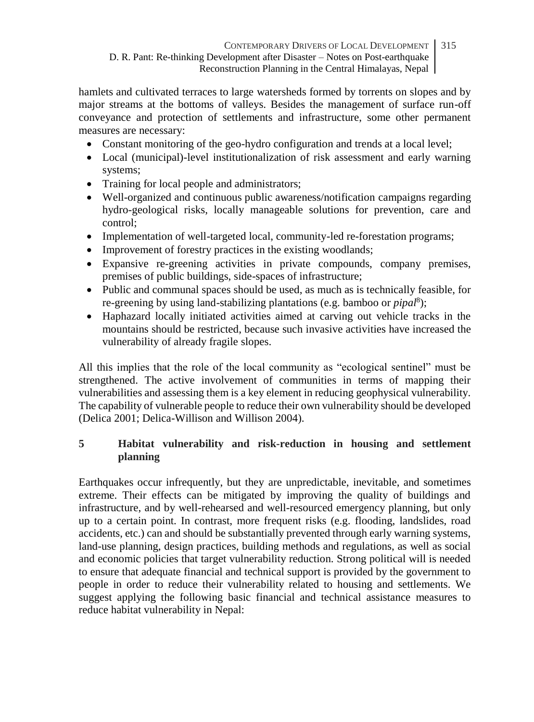hamlets and cultivated terraces to large watersheds formed by torrents on slopes and by major streams at the bottoms of valleys. Besides the management of surface run-off conveyance and protection of settlements and infrastructure, some other permanent measures are necessary:

- Constant monitoring of the geo-hydro configuration and trends at a local level;
- Local (municipal)-level institutionalization of risk assessment and early warning systems;
- Training for local people and administrators;
- Well-organized and continuous public awareness/notification campaigns regarding hydro-geological risks, locally manageable solutions for prevention, care and control;
- Implementation of well-targeted local, community-led re-forestation programs;
- Improvement of forestry practices in the existing woodlands:
- Expansive re-greening activities in private compounds, company premises, premises of public buildings, side-spaces of infrastructure;
- Public and communal spaces should be used, as much as is technically feasible, for re-greening by using land-stabilizing plantations (e.g. bamboo or *pipal*<sup>8</sup> );
- Haphazard locally initiated activities aimed at carving out vehicle tracks in the mountains should be restricted, because such invasive activities have increased the vulnerability of already fragile slopes.

All this implies that the role of the local community as "ecological sentinel" must be strengthened. The active involvement of communities in terms of mapping their vulnerabilities and assessing them is a key element in reducing geophysical vulnerability. The capability of vulnerable people to reduce their own vulnerability should be developed (Delica 2001; Delica-Willison and Willison 2004).

# **5 Habitat vulnerability and risk-reduction in housing and settlement planning**

Earthquakes occur infrequently, but they are unpredictable, inevitable, and sometimes extreme. Their effects can be mitigated by improving the quality of buildings and infrastructure, and by well-rehearsed and well-resourced emergency planning, but only up to a certain point. In contrast, more frequent risks (e.g. flooding, landslides, road accidents, etc.) can and should be substantially prevented through early warning systems, land-use planning, design practices, building methods and regulations, as well as social and economic policies that target vulnerability reduction. Strong political will is needed to ensure that adequate financial and technical support is provided by the government to people in order to reduce their vulnerability related to housing and settlements. We suggest applying the following basic financial and technical assistance measures to reduce habitat vulnerability in Nepal: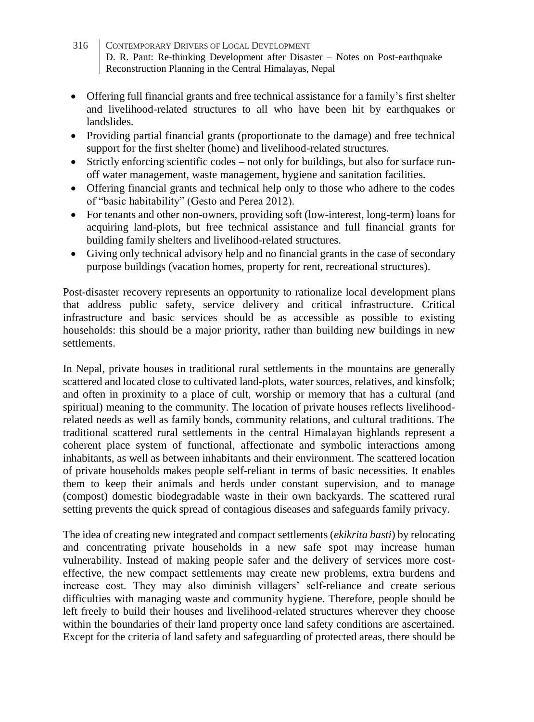- 316 CONTEMPORARY DRIVERS OF LOCAL DEVELOPMENT D. R. Pant: Re-thinking Development after Disaster – Notes on Post-earthquake Reconstruction Planning in the Central Himalayas, Nepal
- Offering full financial grants and free technical assistance for a family's first shelter and livelihood-related structures to all who have been hit by earthquakes or landslides.
- Providing partial financial grants (proportionate to the damage) and free technical support for the first shelter (home) and livelihood-related structures.
- Strictly enforcing scientific codes not only for buildings, but also for surface runoff water management, waste management, hygiene and sanitation facilities.
- Offering financial grants and technical help only to those who adhere to the codes of "basic habitability" (Gesto and Perea 2012).
- For tenants and other non-owners, providing soft (low-interest, long-term) loans for acquiring land-plots, but free technical assistance and full financial grants for building family shelters and livelihood-related structures.
- Giving only technical advisory help and no financial grants in the case of secondary purpose buildings (vacation homes, property for rent, recreational structures).

Post-disaster recovery represents an opportunity to rationalize local development plans that address public safety, service delivery and critical infrastructure. Critical infrastructure and basic services should be as accessible as possible to existing households: this should be a major priority, rather than building new buildings in new settlements.

In Nepal, private houses in traditional rural settlements in the mountains are generally scattered and located close to cultivated land-plots, water sources, relatives, and kinsfolk; and often in proximity to a place of cult, worship or memory that has a cultural (and spiritual) meaning to the community. The location of private houses reflects livelihoodrelated needs as well as family bonds, community relations, and cultural traditions. The traditional scattered rural settlements in the central Himalayan highlands represent a coherent place system of functional, affectionate and symbolic interactions among inhabitants, as well as between inhabitants and their environment. The scattered location of private households makes people self-reliant in terms of basic necessities. It enables them to keep their animals and herds under constant supervision, and to manage (compost) domestic biodegradable waste in their own backyards. The scattered rural setting prevents the quick spread of contagious diseases and safeguards family privacy.

The idea of creating new integrated and compact settlements (*ekikrita basti*) by relocating and concentrating private households in a new safe spot may increase human vulnerability. Instead of making people safer and the delivery of services more costeffective, the new compact settlements may create new problems, extra burdens and increase cost. They may also diminish villagers' self-reliance and create serious difficulties with managing waste and community hygiene. Therefore, people should be left freely to build their houses and livelihood-related structures wherever they choose within the boundaries of their land property once land safety conditions are ascertained. Except for the criteria of land safety and safeguarding of protected areas, there should be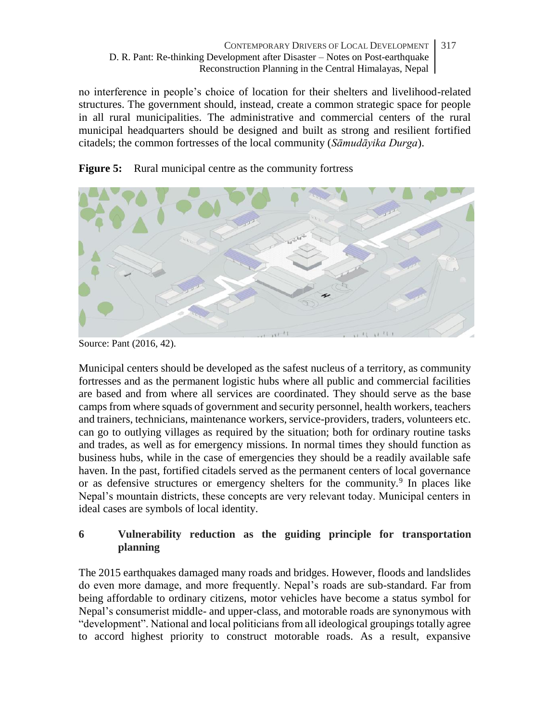no interference in people's choice of location for their shelters and livelihood-related structures. The government should, instead, create a common strategic space for people in all rural municipalities. The administrative and commercial centers of the rural municipal headquarters should be designed and built as strong and resilient fortified citadels; the common fortresses of the local community (*Sāmudāyika Durga*).





Municipal centers should be developed as the safest nucleus of a territory, as community fortresses and as the permanent logistic hubs where all public and commercial facilities are based and from where all services are coordinated. They should serve as the base camps from where squads of government and security personnel, health workers, teachers and trainers, technicians, maintenance workers, service-providers, traders, volunteers etc. can go to outlying villages as required by the situation; both for ordinary routine tasks and trades, as well as for emergency missions. In normal times they should function as business hubs, while in the case of emergencies they should be a readily available safe haven. In the past, fortified citadels served as the permanent centers of local governance or as defensive structures or emergency shelters for the community.<sup>9</sup> In places like Nepal's mountain districts, these concepts are very relevant today. Municipal centers in ideal cases are symbols of local identity.

### **6 Vulnerability reduction as the guiding principle for transportation planning**

The 2015 earthquakes damaged many roads and bridges. However, floods and landslides do even more damage, and more frequently. Nepal's roads are sub-standard. Far from being affordable to ordinary citizens, motor vehicles have become a status symbol for Nepal's consumerist middle- and upper-class, and motorable roads are synonymous with "development". National and local politicians from all ideological groupings totally agree to accord highest priority to construct motorable roads. As a result, expansive

Source: Pant (2016, 42).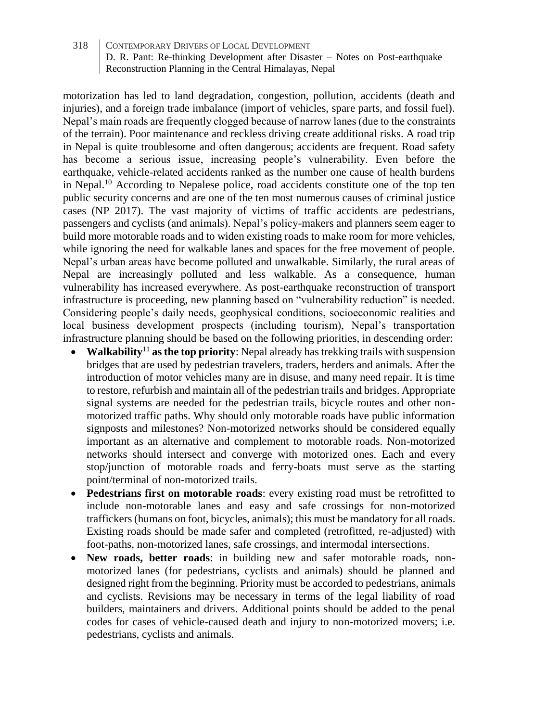motorization has led to land degradation, congestion, pollution, accidents (death and injuries), and a foreign trade imbalance (import of vehicles, spare parts, and fossil fuel). Nepal's main roads are frequently clogged because of narrow lanes (due to the constraints of the terrain). Poor maintenance and reckless driving create additional risks. A road trip in Nepal is quite troublesome and often dangerous; accidents are frequent. Road safety has become a serious issue, increasing people's vulnerability. Even before the earthquake, vehicle-related accidents ranked as the number one cause of health burdens in Nepal.<sup>10</sup> According to Nepalese police, road accidents constitute one of the top ten public security concerns and are one of the ten most numerous causes of criminal justice cases (NP 2017). The vast majority of victims of traffic accidents are pedestrians, passengers and cyclists (and animals). Nepal's policy-makers and planners seem eager to build more motorable roads and to widen existing roads to make room for more vehicles, while ignoring the need for walkable lanes and spaces for the free movement of people. Nepal's urban areas have become polluted and unwalkable. Similarly, the rural areas of Nepal are increasingly polluted and less walkable. As a consequence, human vulnerability has increased everywhere. As post-earthquake reconstruction of transport infrastructure is proceeding, new planning based on "vulnerability reduction" is needed. Considering people's daily needs, geophysical conditions, socioeconomic realities and local business development prospects (including tourism), Nepal's transportation infrastructure planning should be based on the following priorities, in descending order:

- **Walkability**<sup>11</sup> **as the top priority**: Nepal already has trekking trails with suspension bridges that are used by pedestrian travelers, traders, herders and animals. After the introduction of motor vehicles many are in disuse, and many need repair. It is time to restore, refurbish and maintain all of the pedestrian trails and bridges. Appropriate signal systems are needed for the pedestrian trails, bicycle routes and other nonmotorized traffic paths. Why should only motorable roads have public information signposts and milestones? Non-motorized networks should be considered equally important as an alternative and complement to motorable roads. Non-motorized networks should intersect and converge with motorized ones. Each and every stop/junction of motorable roads and ferry-boats must serve as the starting point/terminal of non-motorized trails.
- **Pedestrians first on motorable roads**: every existing road must be retrofitted to include non-motorable lanes and easy and safe crossings for non-motorized traffickers (humans on foot, bicycles, animals); this must be mandatory for all roads. Existing roads should be made safer and completed (retrofitted, re-adjusted) with foot-paths, non-motorized lanes, safe crossings, and intermodal intersections.
- **New roads, better roads**: in building new and safer motorable roads, nonmotorized lanes (for pedestrians, cyclists and animals) should be planned and designed right from the beginning. Priority must be accorded to pedestrians, animals and cyclists. Revisions may be necessary in terms of the legal liability of road builders, maintainers and drivers. Additional points should be added to the penal codes for cases of vehicle-caused death and injury to non-motorized movers; i.e. pedestrians, cyclists and animals.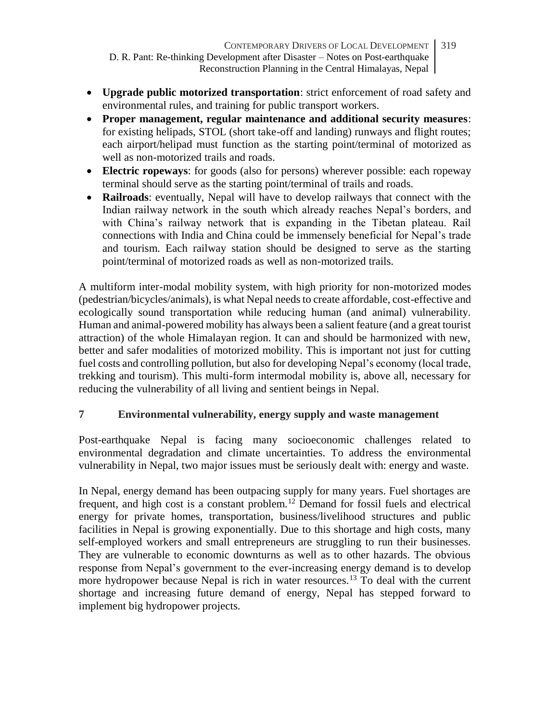- **Upgrade public motorized transportation**: strict enforcement of road safety and environmental rules, and training for public transport workers.
- **Proper management, regular maintenance and additional security measures**: for existing helipads, STOL (short take-off and landing) runways and flight routes; each airport/helipad must function as the starting point/terminal of motorized as well as non-motorized trails and roads.
- **Electric ropeways**: for goods (also for persons) wherever possible: each ropeway terminal should serve as the starting point/terminal of trails and roads.
- **Railroads**: eventually, Nepal will have to develop railways that connect with the Indian railway network in the south which already reaches Nepal's borders, and with China's railway network that is expanding in the Tibetan plateau. Rail connections with India and China could be immensely beneficial for Nepal's trade and tourism. Each railway station should be designed to serve as the starting point/terminal of motorized roads as well as non-motorized trails.

A multiform inter-modal mobility system, with high priority for non-motorized modes (pedestrian/bicycles/animals), is what Nepal needs to create affordable, cost-effective and ecologically sound transportation while reducing human (and animal) vulnerability. Human and animal-powered mobility has always been a salient feature (and a great tourist attraction) of the whole Himalayan region. It can and should be harmonized with new, better and safer modalities of motorized mobility. This is important not just for cutting fuel costs and controlling pollution, but also for developing Nepal's economy (local trade, trekking and tourism). This multi-form intermodal mobility is, above all, necessary for reducing the vulnerability of all living and sentient beings in Nepal.

# **7 Environmental vulnerability, energy supply and waste management**

Post-earthquake Nepal is facing many socioeconomic challenges related to environmental degradation and climate uncertainties. To address the environmental vulnerability in Nepal, two major issues must be seriously dealt with: energy and waste.

In Nepal, energy demand has been outpacing supply for many years. Fuel shortages are frequent, and high cost is a constant problem.<sup>12</sup> Demand for fossil fuels and electrical energy for private homes, transportation, business/livelihood structures and public facilities in Nepal is growing exponentially. Due to this shortage and high costs, many self-employed workers and small entrepreneurs are struggling to run their businesses. They are vulnerable to economic downturns as well as to other hazards. The obvious response from Nepal's government to the ever-increasing energy demand is to develop more hydropower because Nepal is rich in water resources.<sup>13</sup> To deal with the current shortage and increasing future demand of energy, Nepal has stepped forward to implement big hydropower projects.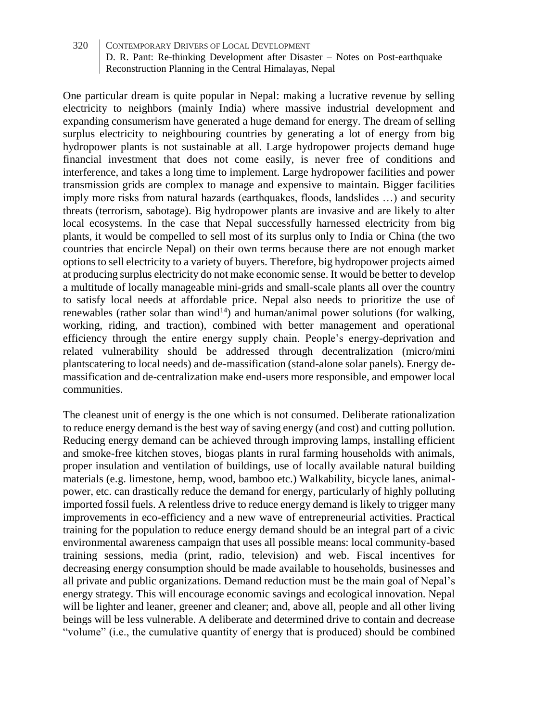One particular dream is quite popular in Nepal: making a lucrative revenue by selling electricity to neighbors (mainly India) where massive industrial development and expanding consumerism have generated a huge demand for energy. The dream of selling surplus electricity to neighbouring countries by generating a lot of energy from big hydropower plants is not sustainable at all. Large hydropower projects demand huge financial investment that does not come easily, is never free of conditions and interference, and takes a long time to implement. Large hydropower facilities and power transmission grids are complex to manage and expensive to maintain. Bigger facilities imply more risks from natural hazards (earthquakes, floods, landslides …) and security threats (terrorism, sabotage). Big hydropower plants are invasive and are likely to alter local ecosystems. In the case that Nepal successfully harnessed electricity from big plants, it would be compelled to sell most of its surplus only to India or China (the two countries that encircle Nepal) on their own terms because there are not enough market options to sell electricity to a variety of buyers. Therefore, big hydropower projects aimed at producing surplus electricity do not make economic sense. It would be better to develop a multitude of locally manageable mini-grids and small-scale plants all over the country to satisfy local needs at affordable price. Nepal also needs to prioritize the use of renewables (rather solar than wind<sup>14</sup>) and human/animal power solutions (for walking, working, riding, and traction), combined with better management and operational efficiency through the entire energy supply chain. People's energy-deprivation and related vulnerability should be addressed through decentralization (micro/mini plantscatering to local needs) and de-massification (stand-alone solar panels). Energy demassification and de-centralization make end-users more responsible, and empower local communities.

The cleanest unit of energy is the one which is not consumed. Deliberate rationalization to reduce energy demand is the best way of saving energy (and cost) and cutting pollution. Reducing energy demand can be achieved through improving lamps, installing efficient and smoke-free kitchen stoves, biogas plants in rural farming households with animals, proper insulation and ventilation of buildings, use of locally available natural building materials (e.g. limestone, hemp, wood, bamboo etc.) Walkability, bicycle lanes, animalpower, etc. can drastically reduce the demand for energy, particularly of highly polluting imported fossil fuels. A relentless drive to reduce energy demand is likely to trigger many improvements in eco-efficiency and a new wave of entrepreneurial activities. Practical training for the population to reduce energy demand should be an integral part of a civic environmental awareness campaign that uses all possible means: local community-based training sessions, media (print, radio, television) and web. Fiscal incentives for decreasing energy consumption should be made available to households, businesses and all private and public organizations. Demand reduction must be the main goal of Nepal's energy strategy. This will encourage economic savings and ecological innovation. Nepal will be lighter and leaner, greener and cleaner; and, above all, people and all other living beings will be less vulnerable. A deliberate and determined drive to contain and decrease "volume" (i.e., the cumulative quantity of energy that is produced) should be combined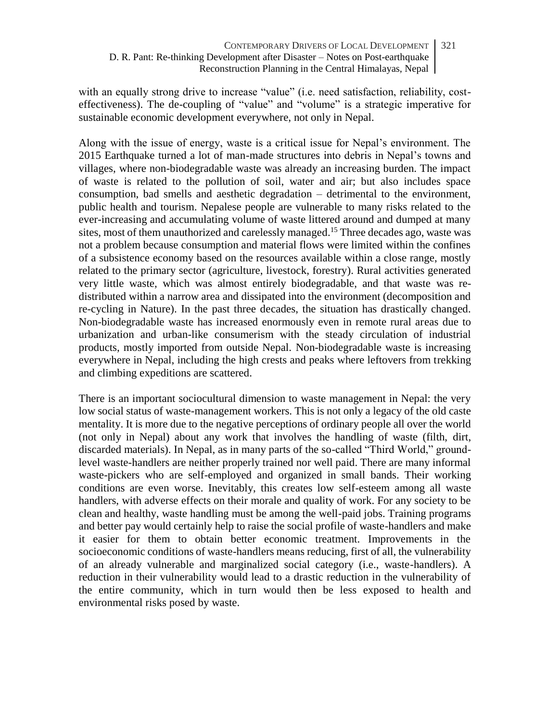with an equally strong drive to increase "value" (i.e. need satisfaction, reliability, costeffectiveness). The de-coupling of "value" and "volume" is a strategic imperative for sustainable economic development everywhere, not only in Nepal.

Along with the issue of energy, waste is a critical issue for Nepal's environment. The 2015 Earthquake turned a lot of man-made structures into debris in Nepal's towns and villages, where non-biodegradable waste was already an increasing burden. The impact of waste is related to the pollution of soil, water and air; but also includes space consumption, bad smells and aesthetic degradation – detrimental to the environment, public health and tourism. Nepalese people are vulnerable to many risks related to the ever-increasing and accumulating volume of waste littered around and dumped at many sites, most of them unauthorized and carelessly managed.<sup>15</sup> Three decades ago, waste was not a problem because consumption and material flows were limited within the confines of a subsistence economy based on the resources available within a close range, mostly related to the primary sector (agriculture, livestock, forestry). Rural activities generated very little waste, which was almost entirely biodegradable, and that waste was redistributed within a narrow area and dissipated into the environment (decomposition and re-cycling in Nature). In the past three decades, the situation has drastically changed. Non-biodegradable waste has increased enormously even in remote rural areas due to urbanization and urban-like consumerism with the steady circulation of industrial products, mostly imported from outside Nepal. Non-biodegradable waste is increasing everywhere in Nepal, including the high crests and peaks where leftovers from trekking and climbing expeditions are scattered.

There is an important sociocultural dimension to waste management in Nepal: the very low social status of waste-management workers. This is not only a legacy of the old caste mentality. It is more due to the negative perceptions of ordinary people all over the world (not only in Nepal) about any work that involves the handling of waste (filth, dirt, discarded materials). In Nepal, as in many parts of the so-called "Third World," groundlevel waste-handlers are neither properly trained nor well paid. There are many informal waste-pickers who are self-employed and organized in small bands. Their working conditions are even worse. Inevitably, this creates low self-esteem among all waste handlers, with adverse effects on their morale and quality of work. For any society to be clean and healthy, waste handling must be among the well-paid jobs. Training programs and better pay would certainly help to raise the social profile of waste-handlers and make it easier for them to obtain better economic treatment. Improvements in the socioeconomic conditions of waste-handlers means reducing, first of all, the vulnerability of an already vulnerable and marginalized social category (i.e., waste-handlers). A reduction in their vulnerability would lead to a drastic reduction in the vulnerability of the entire community, which in turn would then be less exposed to health and environmental risks posed by waste.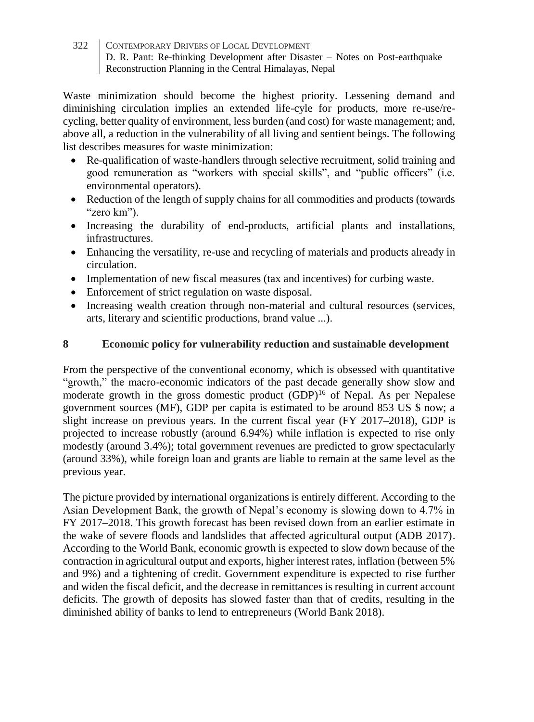Waste minimization should become the highest priority. Lessening demand and diminishing circulation implies an extended life-cyle for products, more re-use/recycling, better quality of environment, less burden (and cost) for waste management; and, above all, a reduction in the vulnerability of all living and sentient beings. The following list describes measures for waste minimization:

- Re-qualification of waste-handlers through selective recruitment, solid training and good remuneration as "workers with special skills", and "public officers" (i.e. environmental operators).
- Reduction of the length of supply chains for all commodities and products (towards "zero km").
- Increasing the durability of end-products, artificial plants and installations, infrastructures.
- Enhancing the versatility, re-use and recycling of materials and products already in circulation.
- Implementation of new fiscal measures (tax and incentives) for curbing waste.
- Enforcement of strict regulation on waste disposal.
- Increasing wealth creation through non-material and cultural resources (services, arts, literary and scientific productions, brand value ...).

### **8 Economic policy for vulnerability reduction and sustainable development**

From the perspective of the conventional economy, which is obsessed with quantitative "growth," the macro-economic indicators of the past decade generally show slow and moderate growth in the gross domestic product  $(GDP)^{16}$  of Nepal. As per Nepalese government sources (MF), GDP per capita is estimated to be around 853 US \$ now; a slight increase on previous years. In the current fiscal year (FY 2017–2018), GDP is projected to increase robustly (around 6.94%) while inflation is expected to rise only modestly (around 3.4%); total government revenues are predicted to grow spectacularly (around 33%), while foreign loan and grants are liable to remain at the same level as the previous year.

The picture provided by international organizations is entirely different. According to the Asian Development Bank, the growth of Nepal's economy is slowing down to 4.7% in FY 2017–2018. This growth forecast has been revised down from an earlier estimate in the wake of severe floods and landslides that affected agricultural output (ADB 2017). According to the World Bank, economic growth is expected to slow down because of the contraction in agricultural output and exports, higher interest rates, inflation (between 5% and 9%) and a tightening of credit. Government expenditure is expected to rise further and widen the fiscal deficit, and the decrease in remittances is resulting in current account deficits. The growth of deposits has slowed faster than that of credits, resulting in the diminished ability of banks to lend to entrepreneurs (World Bank 2018).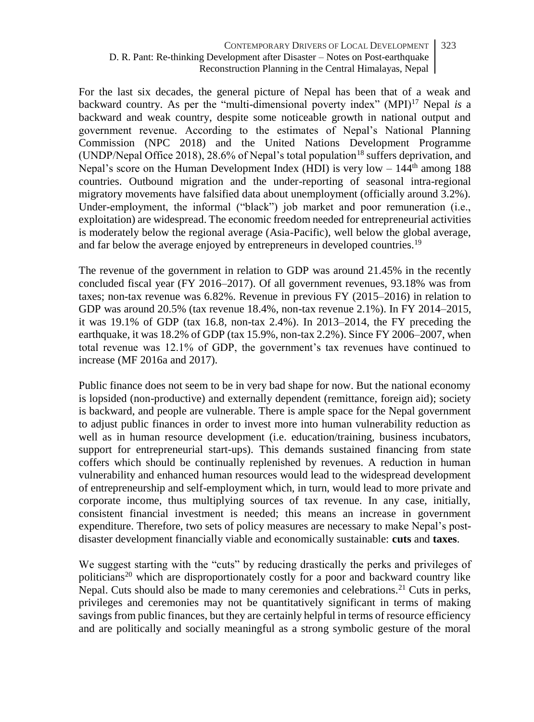For the last six decades, the general picture of Nepal has been that of a weak and backward country. As per the "multi-dimensional poverty index" (MPI)<sup>17</sup> Nepal *is* a backward and weak country, despite some noticeable growth in national output and government revenue. According to the estimates of Nepal's National Planning Commission (NPC 2018) and the United Nations Development Programme (UNDP/Nepal Office 2018), 28.6% of Nepal's total population<sup>18</sup> suffers deprivation, and Nepal's score on the Human Development Index (HDI) is very low  $-144<sup>th</sup>$  among 188 countries. Outbound migration and the under-reporting of seasonal intra-regional migratory movements have falsified data about unemployment (officially around 3.2%). Under-employment, the informal ("black") job market and poor remuneration (i.e., exploitation) are widespread. The economic freedom needed for entrepreneurial activities is moderately below the regional average (Asia-Pacific), well below the global average, and far below the average enjoyed by entrepreneurs in developed countries.<sup>19</sup>

The revenue of the government in relation to GDP was around 21.45% in the recently concluded fiscal year (FY 2016–2017). Of all government revenues, 93.18% was from taxes; non-tax revenue was 6.82%. Revenue in previous FY (2015–2016) in relation to GDP was around 20.5% (tax revenue 18.4%, non-tax revenue 2.1%). In FY 2014–2015, it was 19.1% of GDP (tax 16.8, non-tax 2.4%). In 2013–2014, the FY preceding the earthquake, it was 18.2% of GDP (tax 15.9%, non-tax 2.2%). Since FY 2006–2007, when total revenue was 12.1% of GDP, the government's tax revenues have continued to increase (MF 2016a and 2017).

Public finance does not seem to be in very bad shape for now. But the national economy is lopsided (non-productive) and externally dependent (remittance, foreign aid); society is backward, and people are vulnerable. There is ample space for the Nepal government to adjust public finances in order to invest more into human vulnerability reduction as well as in human resource development (i.e. education/training, business incubators, support for entrepreneurial start-ups). This demands sustained financing from state coffers which should be continually replenished by revenues. A reduction in human vulnerability and enhanced human resources would lead to the widespread development of entrepreneurship and self-employment which, in turn, would lead to more private and corporate income, thus multiplying sources of tax revenue. In any case, initially, consistent financial investment is needed; this means an increase in government expenditure. Therefore, two sets of policy measures are necessary to make Nepal's postdisaster development financially viable and economically sustainable: **cuts** and **taxes**.

We suggest starting with the "cuts" by reducing drastically the perks and privileges of politicians<sup>20</sup> which are disproportionately costly for a poor and backward country like Nepal. Cuts should also be made to many ceremonies and celebrations.<sup>21</sup> Cuts in perks, privileges and ceremonies may not be quantitatively significant in terms of making savings from public finances, but they are certainly helpful in terms of resource efficiency and are politically and socially meaningful as a strong symbolic gesture of the moral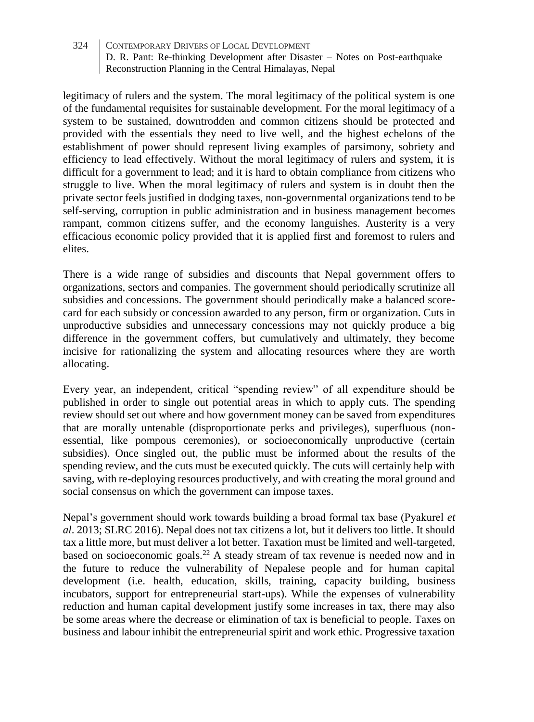legitimacy of rulers and the system. The moral legitimacy of the political system is one of the fundamental requisites for sustainable development. For the moral legitimacy of a system to be sustained, downtrodden and common citizens should be protected and provided with the essentials they need to live well, and the highest echelons of the establishment of power should represent living examples of parsimony, sobriety and efficiency to lead effectively. Without the moral legitimacy of rulers and system, it is difficult for a government to lead; and it is hard to obtain compliance from citizens who struggle to live. When the moral legitimacy of rulers and system is in doubt then the private sector feels justified in dodging taxes, non-governmental organizations tend to be self-serving, corruption in public administration and in business management becomes rampant, common citizens suffer, and the economy languishes. Austerity is a very efficacious economic policy provided that it is applied first and foremost to rulers and elites.

There is a wide range of subsidies and discounts that Nepal government offers to organizations, sectors and companies. The government should periodically scrutinize all subsidies and concessions. The government should periodically make a balanced scorecard for each subsidy or concession awarded to any person, firm or organization. Cuts in unproductive subsidies and unnecessary concessions may not quickly produce a big difference in the government coffers, but cumulatively and ultimately, they become incisive for rationalizing the system and allocating resources where they are worth allocating.

Every year, an independent, critical "spending review" of all expenditure should be published in order to single out potential areas in which to apply cuts. The spending review should set out where and how government money can be saved from expenditures that are morally untenable (disproportionate perks and privileges), superfluous (nonessential, like pompous ceremonies), or socioeconomically unproductive (certain subsidies). Once singled out, the public must be informed about the results of the spending review, and the cuts must be executed quickly. The cuts will certainly help with saving, with re-deploying resources productively, and with creating the moral ground and social consensus on which the government can impose taxes.

Nepal's government should work towards building a broad formal tax base (Pyakurel *et al*. 2013; SLRC 2016). Nepal does not tax citizens a lot, but it delivers too little. It should tax a little more, but must deliver a lot better. Taxation must be limited and well-targeted, based on socioeconomic goals.<sup>22</sup> A steady stream of tax revenue is needed now and in the future to reduce the vulnerability of Nepalese people and for human capital development (i.e. health, education, skills, training, capacity building, business incubators, support for entrepreneurial start-ups). While the expenses of vulnerability reduction and human capital development justify some increases in tax, there may also be some areas where the decrease or elimination of tax is beneficial to people. Taxes on business and labour inhibit the entrepreneurial spirit and work ethic. Progressive taxation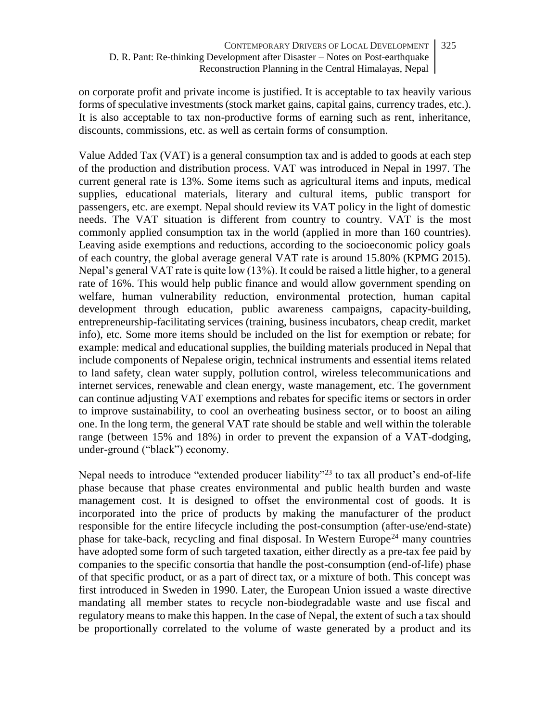on corporate profit and private income is justified. It is acceptable to tax heavily various forms of speculative investments (stock market gains, capital gains, currency trades, etc.). It is also acceptable to tax non-productive forms of earning such as rent, inheritance, discounts, commissions, etc. as well as certain forms of consumption.

Value Added Tax (VAT) is a general consumption tax and is added to goods at each step of the production and distribution process. VAT was introduced in Nepal in 1997. The current general rate is 13%. Some items such as agricultural items and inputs, medical supplies, educational materials, literary and cultural items, public transport for passengers, etc. are exempt. Nepal should review its VAT policy in the light of domestic needs. The VAT situation is different from country to country. VAT is the most commonly applied consumption tax in the world (applied in more than 160 countries). Leaving aside exemptions and reductions, according to the socioeconomic policy goals of each country, the global average general VAT rate is around 15.80% (KPMG 2015). Nepal's general VAT rate is quite low (13%). It could be raised a little higher, to a general rate of 16%. This would help public finance and would allow government spending on welfare, human vulnerability reduction, environmental protection, human capital development through education, public awareness campaigns, capacity-building, entrepreneurship-facilitating services (training, business incubators, cheap credit, market info), etc. Some more items should be included on the list for exemption or rebate; for example: medical and educational supplies, the building materials produced in Nepal that include components of Nepalese origin, technical instruments and essential items related to land safety, clean water supply, pollution control, wireless telecommunications and internet services, renewable and clean energy, waste management, etc. The government can continue adjusting VAT exemptions and rebates for specific items or sectors in order to improve sustainability, to cool an overheating business sector, or to boost an ailing one. In the long term, the general VAT rate should be stable and well within the tolerable range (between 15% and 18%) in order to prevent the expansion of a VAT-dodging, under-ground ("black") economy.

Nepal needs to introduce "extended producer liability"<sup>23</sup> to tax all product's end-of-life phase because that phase creates environmental and public health burden and waste management cost. It is designed to offset the environmental cost of goods. It is incorporated into the price of products by making the manufacturer of the product responsible for the entire lifecycle including the post-consumption (after-use/end-state) phase for take-back, recycling and final disposal. In Western Europe<sup>24</sup> many countries have adopted some form of such targeted taxation, either directly as a pre-tax fee paid by companies to the specific consortia that handle the post-consumption (end-of-life) phase of that specific product, or as a part of direct tax, or a mixture of both. This concept was first introduced in Sweden in 1990. Later, the European Union issued a waste directive mandating all member states to recycle non-biodegradable waste and use fiscal and regulatory means to make this happen. In the case of Nepal, the extent of such a tax should be proportionally correlated to the volume of waste generated by a product and its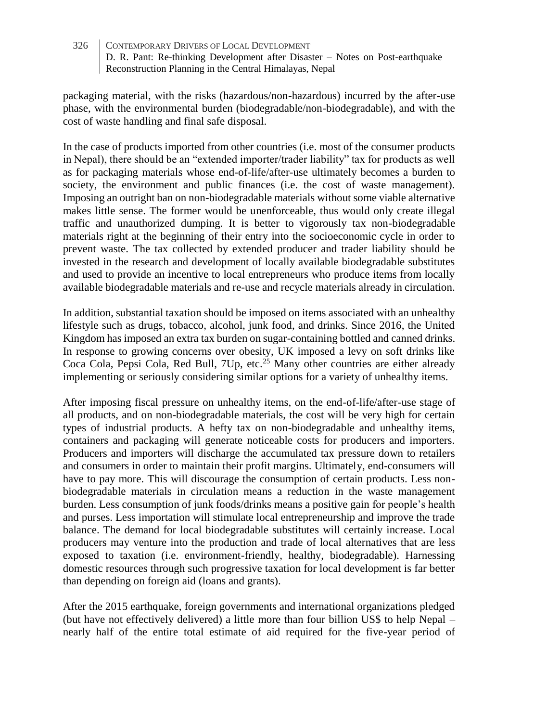packaging material, with the risks (hazardous/non-hazardous) incurred by the after-use phase, with the environmental burden (biodegradable/non-biodegradable), and with the cost of waste handling and final safe disposal.

In the case of products imported from other countries (i.e. most of the consumer products in Nepal), there should be an "extended importer/trader liability" tax for products as well as for packaging materials whose end-of-life/after-use ultimately becomes a burden to society, the environment and public finances (i.e. the cost of waste management). Imposing an outright ban on non-biodegradable materials without some viable alternative makes little sense. The former would be unenforceable, thus would only create illegal traffic and unauthorized dumping. It is better to vigorously tax non-biodegradable materials right at the beginning of their entry into the socioeconomic cycle in order to prevent waste. The tax collected by extended producer and trader liability should be invested in the research and development of locally available biodegradable substitutes and used to provide an incentive to local entrepreneurs who produce items from locally available biodegradable materials and re-use and recycle materials already in circulation.

In addition, substantial taxation should be imposed on items associated with an unhealthy lifestyle such as drugs, tobacco, alcohol, junk food, and drinks. Since 2016, the United Kingdom has imposed an extra tax burden on sugar-containing bottled and canned drinks. In response to growing concerns over obesity, UK imposed a levy on soft drinks like Coca Cola, Pepsi Cola, Red Bull, 7Up, etc.<sup>25</sup> Many other countries are either already implementing or seriously considering similar options for a variety of unhealthy items.

After imposing fiscal pressure on unhealthy items, on the end-of-life/after-use stage of all products, and on non-biodegradable materials, the cost will be very high for certain types of industrial products. A hefty tax on non-biodegradable and unhealthy items, containers and packaging will generate noticeable costs for producers and importers. Producers and importers will discharge the accumulated tax pressure down to retailers and consumers in order to maintain their profit margins. Ultimately, end-consumers will have to pay more. This will discourage the consumption of certain products. Less nonbiodegradable materials in circulation means a reduction in the waste management burden. Less consumption of junk foods/drinks means a positive gain for people's health and purses. Less importation will stimulate local entrepreneurship and improve the trade balance. The demand for local biodegradable substitutes will certainly increase. Local producers may venture into the production and trade of local alternatives that are less exposed to taxation (i.e. environment-friendly, healthy, biodegradable). Harnessing domestic resources through such progressive taxation for local development is far better than depending on foreign aid (loans and grants).

After the 2015 earthquake, foreign governments and international organizations pledged (but have not effectively delivered) a little more than four billion US\$ to help Nepal – nearly half of the entire total estimate of aid required for the five-year period of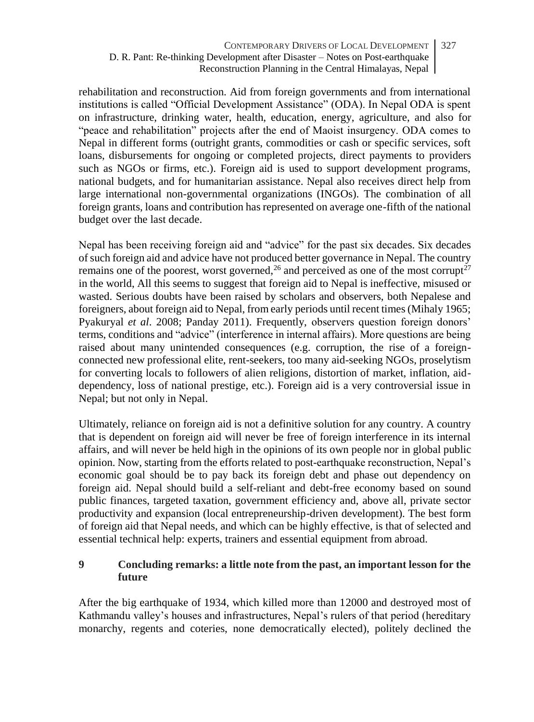rehabilitation and reconstruction. Aid from foreign governments and from international institutions is called "Official Development Assistance" (ODA). In Nepal ODA is spent on infrastructure, drinking water, health, education, energy, agriculture, and also for "peace and rehabilitation" projects after the end of Maoist insurgency. ODA comes to Nepal in different forms (outright grants, commodities or cash or specific services, soft loans, disbursements for ongoing or completed projects, direct payments to providers such as NGOs or firms, etc.). Foreign aid is used to support development programs, national budgets, and for humanitarian assistance. Nepal also receives direct help from large international non-governmental organizations (INGOs). The combination of all foreign grants, loans and contribution has represented on average one-fifth of the national budget over the last decade.

Nepal has been receiving foreign aid and "advice" for the past six decades. Six decades of such foreign aid and advice have not produced better governance in Nepal. The country remains one of the poorest, worst governed,  $^{26}$  and perceived as one of the most corrupt<sup>27</sup> in the world, All this seems to suggest that foreign aid to Nepal is ineffective, misused or wasted. Serious doubts have been raised by scholars and observers, both Nepalese and foreigners, about foreign aid to Nepal, from early periods until recent times (Mihaly 1965; Pyakuryal *et al*. 2008; Panday 2011). Frequently, observers question foreign donors' terms, conditions and "advice" (interference in internal affairs). More questions are being raised about many unintended consequences (e.g. corruption, the rise of a foreignconnected new professional elite, rent-seekers, too many aid-seeking NGOs, proselytism for converting locals to followers of alien religions, distortion of market, inflation, aiddependency, loss of national prestige, etc.). Foreign aid is a very controversial issue in Nepal; but not only in Nepal.

Ultimately, reliance on foreign aid is not a definitive solution for any country. A country that is dependent on foreign aid will never be free of foreign interference in its internal affairs, and will never be held high in the opinions of its own people nor in global public opinion. Now, starting from the efforts related to post-earthquake reconstruction, Nepal's economic goal should be to pay back its foreign debt and phase out dependency on foreign aid. Nepal should build a self-reliant and debt-free economy based on sound public finances, targeted taxation, government efficiency and, above all, private sector productivity and expansion (local entrepreneurship-driven development). The best form of foreign aid that Nepal needs, and which can be highly effective, is that of selected and essential technical help: experts, trainers and essential equipment from abroad.

### **9 Concluding remarks: a little note from the past, an important lesson for the future**

After the big earthquake of 1934, which killed more than 12000 and destroyed most of Kathmandu valley's houses and infrastructures, Nepal's rulers of that period (hereditary monarchy, regents and coteries, none democratically elected), politely declined the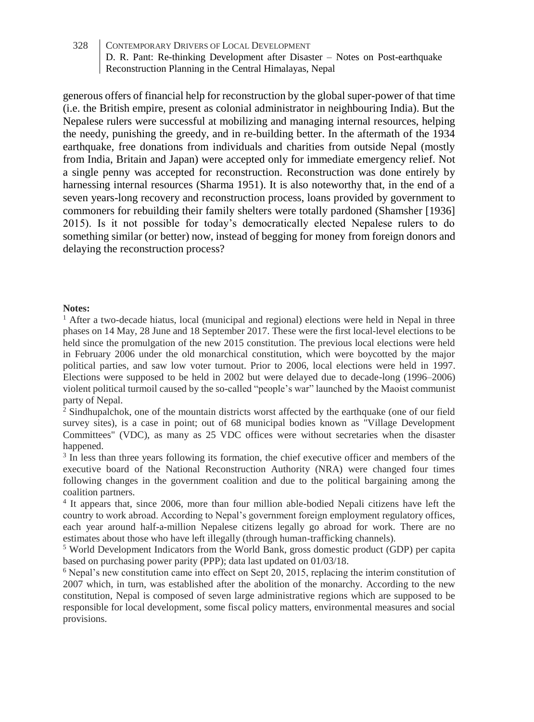generous offers of financial help for reconstruction by the global super-power of that time (i.e. the British empire, present as colonial administrator in neighbouring India). But the Nepalese rulers were successful at mobilizing and managing internal resources, helping the needy, punishing the greedy, and in re-building better. In the aftermath of the 1934 earthquake, free donations from individuals and charities from outside Nepal (mostly from India, Britain and Japan) were accepted only for immediate emergency relief. Not a single penny was accepted for reconstruction. Reconstruction was done entirely by harnessing internal resources (Sharma 1951). It is also noteworthy that, in the end of a seven years-long recovery and reconstruction process, loans provided by government to commoners for rebuilding their family shelters were totally pardoned (Shamsher [1936] 2015). Is it not possible for today's democratically elected Nepalese rulers to do something similar (or better) now, instead of begging for money from foreign donors and delaying the reconstruction process?

### **Notes:**

<sup>1</sup> After a two-decade hiatus, local (municipal and regional) elections were held in Nepal in three phases on 14 May, 28 June and 18 September 2017. These were the first local-level elections to be held since the promulgation of the new 2015 constitution. The previous local elections were held in February 2006 under the old monarchical constitution, which were boycotted by the major political parties, and saw low voter turnout. Prior to 2006, local elections were held in 1997. Elections were supposed to be held in 2002 but were delayed due to decade-long (1996–2006) violent political turmoil caused by the so-called "people's war" launched by the Maoist communist party of Nepal.

<sup>2</sup> Sindhupalchok, one of the mountain districts worst affected by the earthquake (one of our field survey sites), is a case in point; out of 68 municipal bodies known as "Village Development Committees" (VDC), as many as 25 VDC offices were without secretaries when the disaster happened.

<sup>3</sup> In less than three years following its formation, the chief executive officer and members of the executive board of the National Reconstruction Authority (NRA) were changed four times following changes in the government coalition and due to the political bargaining among the coalition partners.

4 It appears that, since 2006, more than four million able-bodied Nepali citizens have left the country to work abroad. According to Nepal's government foreign employment regulatory offices, each year around half-a-million Nepalese citizens legally go abroad for work. There are no estimates about those who have left illegally (through human-trafficking channels).

<sup>5</sup> World Development Indicators from the World Bank, gross domestic product (GDP) per capita based on purchasing power parity (PPP); data last updated on 01/03/18.

<sup>6</sup> Nepal's new constitution came into effect on Sept 20, 2015, replacing the interim constitution of 2007 which, in turn, was established after the abolition of the monarchy. According to the new constitution, Nepal is composed of seven large administrative regions which are supposed to be responsible for local development, some fiscal policy matters, environmental measures and social provisions.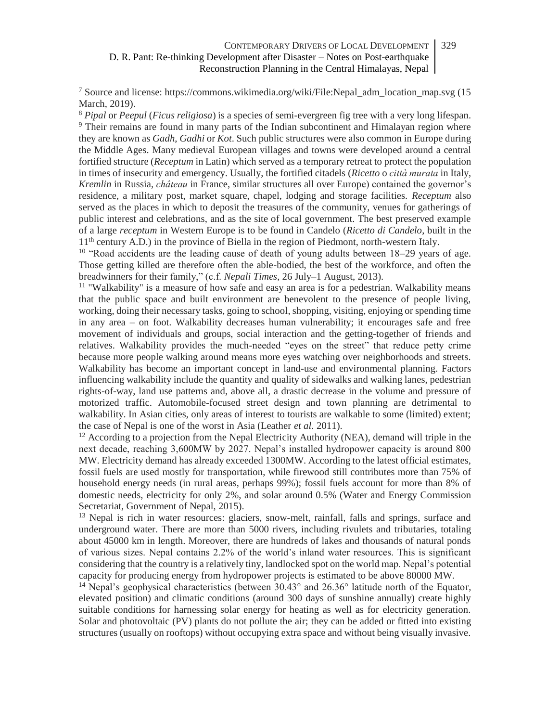- <sup>7</sup> Source and license: https://commons.wikimedia.org/wiki/File:Nepal\_adm\_location\_map.svg (15 March, 2019).

<sup>8</sup> *Pipal* or *Peepul* (*Ficus religiosa*) is a species of semi-evergreen fig tree with a very long lifespan. <sup>9</sup> Their remains are found in many parts of the Indian subcontinent and Himalayan region where they are known as *Gadh*, *Gadhi* or *Kot*. Such public structures were also common in Europe during the Middle Ages. Many medieval European villages and towns were developed around a central fortified structure (*Receptum* in Latin) which served as a temporary retreat to protect the population in times of insecurity and emergency. Usually, the fortified citadels (*Ricetto* o *città murata* in Italy, *Kremlin* in Russia, *château* in France, similar structures all over Europe) contained the governor's residence, a military post, market square, chapel, lodging and storage facilities. *Receptum* also served as the places in which to deposit the treasures of the community, venues for gatherings of public interest and celebrations, and as the site of local government. The best preserved example of a large *receptum* in Western Europe is to be found in Candelo (*Ricetto di Candelo*, built in the 11th century A.D.) in the province of Biella in the region of Piedmont, north-western Italy.

<sup>10</sup> "Road accidents are the leading cause of death of young adults between 18–29 years of age. Those getting killed are therefore often the able-bodied, the best of the workforce, and often the breadwinners for their family," (c.f. *Nepali Times*, 26 July–1 August, 2013).

 $11$  "Walkability" is a measure of how safe and easy an area is for a pedestrian. Walkability means that the public space and built environment are benevolent to the presence of people living, working, doing their necessary tasks, going to school, shopping, visiting, enjoying or spending time in any area – on foot. Walkability decreases human vulnerability; it encourages safe and free movement of individuals and groups, social interaction and the getting-together of friends and relatives. Walkability provides the much-needed "eyes on the street" that reduce petty crime because more people walking around means more eyes watching over neighborhoods and streets. Walkability has become an important concept in land-use and environmental planning. Factors influencing walkability include the quantity and quality of sidewalks and walking lanes, pedestrian rights-of-way, land use patterns and, above all, a drastic decrease in the volume and pressure of motorized traffic. Automobile-focused street design and town planning are detrimental to walkability. In Asian cities, only areas of interest to tourists are walkable to some (limited) extent; the case of Nepal is one of the worst in Asia (Leather *et al.* 2011).

 $12$  According to a projection from the Nepal Electricity Authority (NEA), demand will triple in the next decade, reaching 3,600MW by 2027. Nepal's installed hydropower capacity is around 800 MW. Electricity demand has already exceeded 1300MW. According to the latest official estimates, fossil fuels are used mostly for transportation, while firewood still contributes more than 75% of household energy needs (in rural areas, perhaps 99%); fossil fuels account for more than 8% of domestic needs, electricity for only 2%, and solar around 0.5% (Water and Energy Commission Secretariat, Government of Nepal, 2015).

<sup>13</sup> Nepal is rich in water resources: glaciers, snow-melt, rainfall, falls and springs, surface and underground water. There are more than 5000 rivers, including rivulets and tributaries, totaling about 45000 km in length. Moreover, there are hundreds of lakes and thousands of natural ponds of various sizes. Nepal contains 2.2% of the world's inland water resources. This is significant considering that the country is a relatively tiny, landlocked spot on the world map. Nepal's potential capacity for producing energy from hydropower projects is estimated to be above 80000 MW.

<sup>14</sup> Nepal's geophysical characteristics (between 30.43° and 26.36° latitude north of the Equator, elevated position) and climatic conditions (around 300 days of sunshine annually) create highly suitable conditions for harnessing solar energy for heating as well as for electricity generation. Solar and photovoltaic (PV) plants do not pollute the air; they can be added or fitted into existing structures (usually on rooftops) without occupying extra space and without being visually invasive.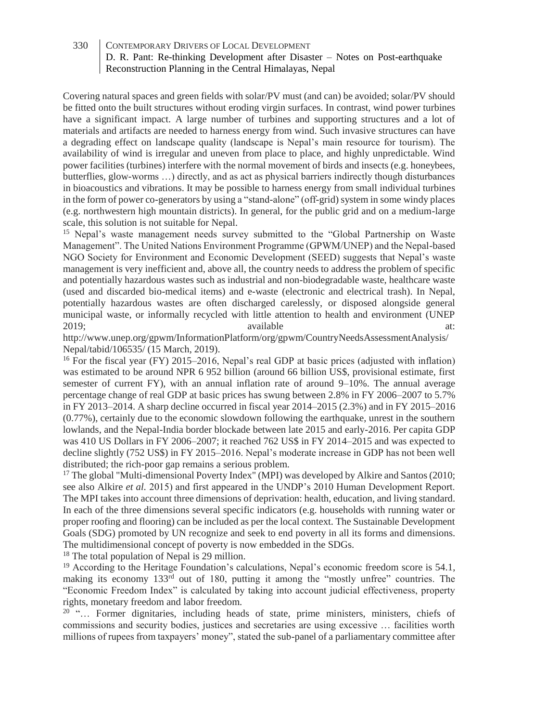- Covering natural spaces and green fields with solar/PV must (and can) be avoided; solar/PV should be fitted onto the built structures without eroding virgin surfaces. In contrast, wind power turbines have a significant impact. A large number of turbines and supporting structures and a lot of materials and artifacts are needed to harness energy from wind. Such invasive structures can have a degrading effect on landscape quality (landscape is Nepal's main resource for tourism). The availability of wind is irregular and uneven from place to place, and highly unpredictable. Wind power facilities (turbines) interfere with the normal movement of birds and insects (e.g. honeybees, butterflies, glow-worms …) directly, and as act as physical barriers indirectly though disturbances in bioacoustics and vibrations. It may be possible to harness energy from small individual turbines in the form of power co-generators by using a "stand-alone" (off-grid) system in some windy places (e.g. northwestern high mountain districts). In general, for the public grid and on a medium-large scale, this solution is not suitable for Nepal.

<sup>15</sup> Nepal's waste management needs survey submitted to the "Global Partnership on Waste Management". The United Nations Environment Programme (GPWM/UNEP) and the Nepal-based NGO Society for Environment and Economic Development (SEED) suggests that Nepal's waste management is very inefficient and, above all, the country needs to address the problem of specific and potentially hazardous wastes such as industrial and non-biodegradable waste, healthcare waste (used and discarded bio-medical items) and e-waste (electronic and electrical trash). In Nepal, potentially hazardous wastes are often discharged carelessly, or disposed alongside general municipal waste, or informally recycled with little attention to health and environment (UNEP 2019; available at:

http://www.unep.org/gpwm/InformationPlatform/org/gpwm/CountryNeedsAssessmentAnalysis/ Nepal/tabid/106535/ (15 March, 2019).

<sup>16</sup> For the fiscal year (FY) 2015–2016, Nepal's real GDP at basic prices (adjusted with inflation) was estimated to be around NPR 6 952 billion (around 66 billion US\$, provisional estimate, first semester of current FY), with an annual inflation rate of around 9–10%. The annual average percentage change of real GDP at basic prices has swung between 2.8% in FY 2006–2007 to 5.7% in FY 2013–2014. A sharp decline occurred in fiscal year 2014–2015 (2.3%) and in FY 2015–2016 (0.77%), certainly due to the economic slowdown following the earthquake, unrest in the southern lowlands, and the Nepal-India border blockade between late 2015 and early-2016. Per capita GDP was 410 US Dollars in FY 2006–2007; it reached 762 US\$ in FY 2014–2015 and was expected to decline slightly (752 US\$) in FY 2015–2016. Nepal's moderate increase in GDP has not been well distributed; the rich-poor gap remains a serious problem.

 $17$  The global "Multi-dimensional Poverty Index" (MPI) was developed by Alkire and Santos (2010; see also Alkire *et al.* 2015) and first appeared in the UNDP's 2010 Human Development Report. The MPI takes into account three dimensions of deprivation: health, education, and living standard. In each of the three dimensions several specific indicators (e.g. households with running water or proper roofing and flooring) can be included as per the local context. The Sustainable Development Goals (SDG) promoted by UN recognize and seek to end poverty in all its forms and dimensions. The multidimensional concept of poverty is now embedded in the SDGs.

<sup>18</sup> The total population of Nepal is 29 million.

 $19$  According to the Heritage Foundation's calculations, Nepal's economic freedom score is 54.1, making its economy  $133^{rd}$  out of 180, putting it among the "mostly unfree" countries. The "Economic Freedom Index" is calculated by taking into account judicial effectiveness, property rights, monetary freedom and labor freedom.

 $20$  "... Former dignitaries, including heads of state, prime ministers, ministers, chiefs of commissions and security bodies, justices and secretaries are using excessive … facilities worth millions of rupees from taxpayers' money", stated the sub-panel of a parliamentary committee after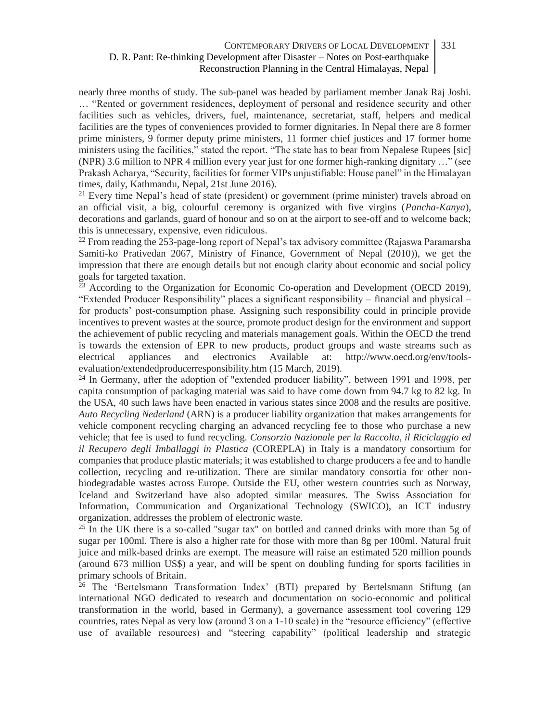- nearly three months of study. The sub-panel was headed by parliament member Janak Raj Joshi. … "Rented or government residences, deployment of personal and residence security and other facilities such as vehicles, drivers, fuel, maintenance, secretariat, staff, helpers and medical facilities are the types of conveniences provided to former dignitaries. In Nepal there are 8 former prime ministers, 9 former deputy prime ministers, 11 former chief justices and 17 former home ministers using the facilities," stated the report. "The state has to bear from Nepalese Rupees [sic] (NPR) 3.6 million to NPR 4 million every year just for one former high-ranking dignitary …" (see Prakash Acharya, "Security, facilities for former VIPs unjustifiable: House panel" in the Himalayan times, daily, Kathmandu, Nepal, 21st June 2016).

<sup>21</sup> Every time Nepal's head of state (president) or government (prime minister) travels abroad on an official visit, a big, colourful ceremony is organized with five virgins (*Pancha-Kanya*), decorations and garlands, guard of honour and so on at the airport to see-off and to welcome back; this is unnecessary, expensive, even ridiculous.

<sup>22</sup> From reading the 253-page-long report of Nepal's tax advisory committee (Rajaswa Paramarsha Samiti-ko Prativedan 2067, Ministry of Finance, Government of Nepal (2010)), we get the impression that there are enough details but not enough clarity about economic and social policy goals for targeted taxation.

 $23$  According to the Organization for Economic Co-operation and Development (OECD 2019), "Extended Producer Responsibility" places a significant responsibility – financial and physical – for products' post-consumption phase. Assigning such responsibility could in principle provide incentives to prevent wastes at the source, promote product design for the environment and support the achievement of public recycling and materials management goals. Within the OECD the trend is towards the extension of EPR to new products, product groups and waste streams such as electrical appliances and electronics Available at: http://www.oecd.org/env/toolsevaluation/extendedproducerresponsibility.htm (15 March, 2019).

<sup>24</sup> In Germany, after the adoption of "extended producer liability", between 1991 and 1998, per capita consumption of packaging material was said to have come down from 94.7 kg to 82 kg. In the USA, 40 such laws have been enacted in various states since 2008 and the results are positive. *Auto Recycling Nederland* (ARN) is a producer liability organization that makes arrangements for vehicle component recycling charging an advanced recycling fee to those who purchase a new vehicle; that fee is used to fund recycling. *Consorzio Nazionale per la Raccolta, il Riciclaggio ed il Recupero degli Imballaggi in Plastica* (COREPLA) in Italy is a mandatory consortium for companies that produce plastic materials; it was established to charge producers a fee and to handle collection, recycling and re-utilization. There are similar mandatory consortia for other nonbiodegradable wastes across Europe. Outside the EU, other western countries such as Norway, Iceland and Switzerland have also adopted similar measures. The Swiss Association for Information, Communication and Organizational Technology (SWICO), an ICT industry organization, addresses the problem of electronic waste.

<sup>25</sup> In the UK there is a so-called "sugar tax" on bottled and canned drinks with more than 5g of sugar per 100ml. There is also a higher rate for those with more than 8g per 100ml. Natural fruit juice and milk-based drinks are exempt. The measure will raise an estimated 520 million pounds (around 673 million US\$) a year, and will be spent on doubling funding for sports facilities in primary schools of Britain.

<sup>26</sup> The 'Bertelsmann Transformation Index' (BTI) prepared by Bertelsmann Stiftung (an international NGO dedicated to research and documentation on socio-economic and political transformation in the world, based in Germany), a governance assessment tool covering 129 countries, rates Nepal as very low (around 3 on a 1-10 scale) in the "resource efficiency" (effective use of available resources) and "steering capability" (political leadership and strategic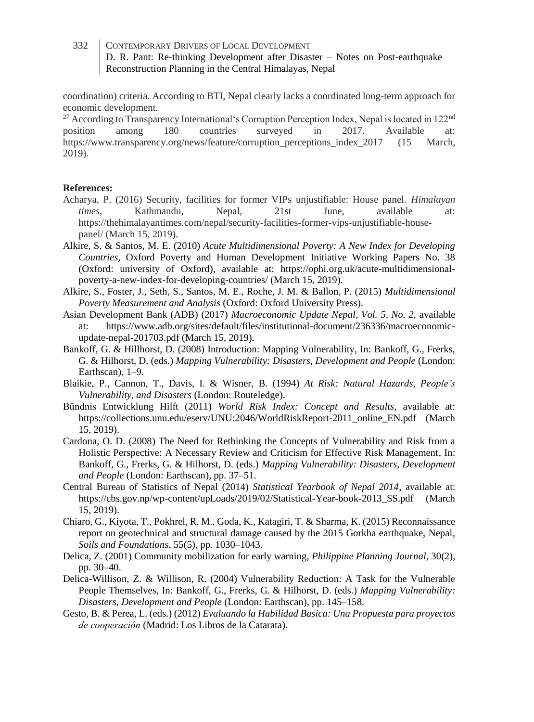- coordination) criteria. According to BTI, Nepal clearly lacks a coordinated long-term approach for economic development.

<sup>27</sup> According to Transparency International's Corruption Perception Index, Nepal is located in  $122<sup>nd</sup>$  position among 180 countries surveyed in 2017. Available at: position among 180 countries surveyed in 2017. Available at: https://www.transparency.org/news/feature/corruption\_perceptions\_index\_2017 (15 March, 2019).

### **References:**

- Acharya, P. (2016) Security, facilities for former VIPs unjustifiable: House panel. *Himalayan times,* Kathmandu, Nepal, 21st June, available at: https://thehimalayantimes.com/nepal/security-facilities-former-vips-unjustifiable-housepanel/ (March 15, 2019).
- Alkire, S. & Santos, M. E. (2010) *Acute Multidimensional Poverty: A New Index for Developing Countries,* Oxford Poverty and Human Development Initiative Working Papers No. 38 (Oxford: university of Oxford), available at: https://ophi.org.uk/acute-multidimensionalpoverty-a-new-index-for-developing-countries/ (March 15, 2019).
- Alkire, S., Foster, J., Seth, S., Santos, M. E., Roche, J. M. & Ballon, P. (2015) *Multidimensional Poverty Measurement and Analysis* (Oxford: Oxford University Press).
- Asian Development Bank (ADB) (2017) *Macroeconomic Update Nepal, Vol. 5, No. 2,* available at: https://www.adb.org/sites/default/files/institutional-document/236336/macroeconomicupdate-nepal-201703.pdf (March 15, 2019).
- Bankoff, G. & Hillhorst, D. (2008) Introduction: Mapping Vulnerability, In: Bankoff, G., Frerks, G. & Hilhorst, D. (eds.) *Mapping Vulnerability: Disasters, Development and People* (London: Earthscan), 1–9.
- Blaikie, P., Cannon, T., Davis, I. & Wisner, B. (1994) *At Risk: Natural Hazards, People's Vulnerability, and Disasters* (London: Routeledge).
- Bündnis Entwicklung Hilft (2011) *World Risk Index: Concept and Results*, available at: https://collections.unu.edu/eserv/UNU:2046/WorldRiskReport-2011\_online\_EN.pdf (March 15, 2019).
- Cardona, O. D. (2008) The Need for Rethinking the Concepts of Vulnerability and Risk from a Holistic Perspective: A Necessary Review and Criticism for Effective Risk Management, In: Bankoff, G., Frerks, G. & Hilhorst, D. (eds.) *Mapping Vulnerability: Disasters, Development and People* (London: Earthscan), pp. 37–51.
- Central Bureau of Statistics of Nepal (2014) *Statistical Yearbook of Nepal 2014,* available at: https://cbs.gov.np/wp-content/upLoads/2019/02/Statistical-Year-book-2013\_SS.pdf (March 15, 2019).
- Chiaro, G., Kiyota, T., Pokhrel, R. M., Goda, K., Katagiri, T. & Sharma, K. (2015) Reconnaissance report on geotechnical and structural damage caused by the 2015 Gorkha earthquake, Nepal, *Soils and Foundations,* 55(5), pp. 1030–1043.
- Delica, Z. (2001) Community mobilization for early warning, *Philippine Planning Journal,* 30(2), pp. 30–40.
- Delica-Willison, Z. & Willison, R. (2004) Vulnerability Reduction: A Task for the Vulnerable People Themselves, In: Bankoff, G., Frerks, G. & Hilhorst, D. (eds.) *Mapping Vulnerability: Disasters, Development and People* (London: Earthscan), pp. 145–158.
- Gesto, B. & Perea, L. (eds.) (2012) *Evaluando la Habilidad Basica: Una Propuesta para proyectos de cooperación* (Madrid: Los Libros de la Catarata).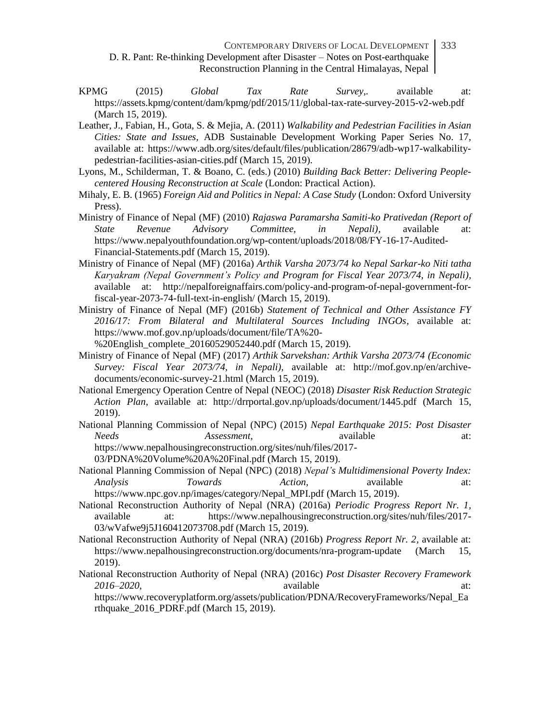CONTEMPORARY DRIVERS OF LOCAL DEVELOPMENT D. R. Pant: Re-thinking Development after Disaster – Notes on Post-earthquake Reconstruction Planning in the Central Himalayas, Nepal 333

- KPMG (2015) *Global Tax Rate Survey,.* available at: https://assets.kpmg/content/dam/kpmg/pdf/2015/11/global-tax-rate-survey-2015-v2-web.pdf (March 15, 2019).
- Leather, J., Fabian, H., Gota, S. & Mejia, A. (2011) *Walkability and Pedestrian Facilities in Asian Cities: State and Issues,* ADB Sustainable Development Working Paper Series No. 17, available at: https://www.adb.org/sites/default/files/publication/28679/adb-wp17-walkabilitypedestrian-facilities-asian-cities.pdf (March 15, 2019).
- Lyons, M., Schilderman, T. & Boano, C. (eds.) (2010) *Building Back Better: Delivering Peoplecentered Housing Reconstruction at Scale* (London: Practical Action).
- Mihaly, E. B. (1965) *Foreign Aid and Politics in Nepal: A Case Study* (London: Oxford University Press).
- Ministry of Finance of Nepal (MF) (2010) *Rajaswa Paramarsha Samiti-ko Prativedan (Report of State Revenue Advisory Committee, in Nepali),* available at: https://www.nepalyouthfoundation.org/wp-content/uploads/2018/08/FY-16-17-Audited-Financial-Statements.pdf (March 15, 2019).
- Ministry of Finance of Nepal (MF) (2016a) *Arthik Varsha 2073/74 ko Nepal Sarkar-ko Niti tatha Karyakram (Nepal Government's Policy and Program for Fiscal Year 2073/74, in Nepali),* available at: http://nepalforeignaffairs.com/policy-and-program-of-nepal-government-forfiscal-year-2073-74-full-text-in-english/ (March 15, 2019).
- Ministry of Finance of Nepal (MF) (2016b) *Statement of Technical and Other Assistance FY 2016/17: From Bilateral and Multilateral Sources Including INGOs*, available at: https://www.mof.gov.np/uploads/document/file/TA%20-
- %20English\_complete\_20160529052440.pdf (March 15, 2019).
- Ministry of Finance of Nepal (MF) (2017) *Arthik Sarvekshan: Arthik Varsha 2073/74 (Economic Survey: Fiscal Year 2073/74, in Nepali),* available at: http://mof.gov.np/en/archivedocuments/economic-survey-21.html (March 15, 2019).
- National Emergency Operation Centre of Nepal (NEOC) (2018) *Disaster Risk Reduction Strategic Action Plan*, available at: http://drrportal.gov.np/uploads/document/1445.pdf (March 15, 2019).
- National Planning Commission of Nepal (NPC) (2015) *Nepal Earthquake 2015: Post Disaster Needs Assessment,* available at: https://www.nepalhousingreconstruction.org/sites/nuh/files/2017-
	- 03/PDNA%20Volume%20A%20Final.pdf (March 15, 2019).
- National Planning Commission of Nepal (NPC) (2018) *Nepal's Multidimensional Poverty Index: Analysis Towards Action,* available at: https://www.npc.gov.np/images/category/Nepal\_MPI.pdf (March 15, 2019).
- National Reconstruction Authority of Nepal (NRA) (2016a) *Periodic Progress Report Nr. 1,* available at: https://www.nepalhousingreconstruction.org/sites/nuh/files/2017- 03/wVafwe9j5J160412073708.pdf (March 15, 2019).
- National Reconstruction Authority of Nepal (NRA) (2016b) *Progress Report Nr. 2,* available at: https://www.nepalhousingreconstruction.org/documents/nra-program-update (March 15, 2019).
- National Reconstruction Authority of Nepal (NRA) (2016c) *Post Disaster Recovery Framework 2016–2020,* available at:

https://www.recoveryplatform.org/assets/publication/PDNA/RecoveryFrameworks/Nepal\_Ea rthquake\_2016\_PDRF.pdf (March 15, 2019).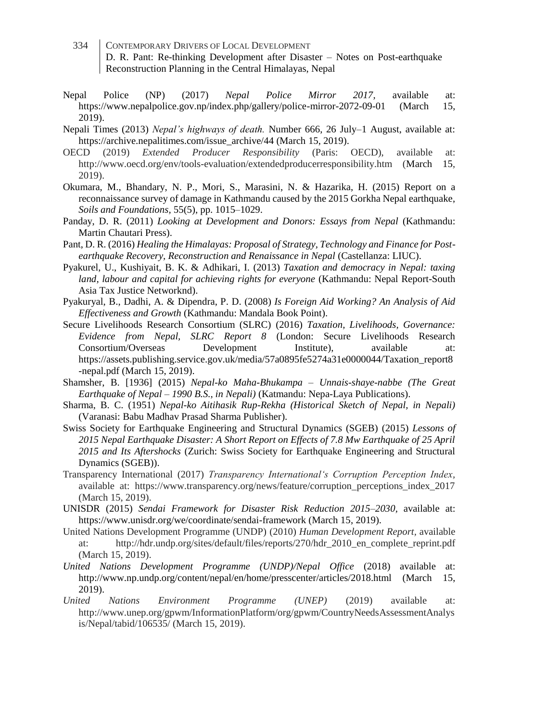- 334 CONTEMPORARY DRIVERS OF LOCAL DEVELOPMENT D. R. Pant: Re-thinking Development after Disaster – Notes on Post-earthquake Reconstruction Planning in the Central Himalayas, Nepal
- Nepal Police (NP) (2017) *Nepal Police Mirror 2017,* available at: https://www.nepalpolice.gov.np/index.php/gallery/police-mirror-2072-09-01 (March 15, 2019).
- Nepali Times (2013) *Nepal's highways of death.* Number 666, 26 July–1 August, available at: https://archive.nepalitimes.com/issue\_archive/44 (March 15, 2019).
- OECD (2019) *Extended Producer Responsibility* (Paris: OECD), available at: http://www.oecd.org/env/tools-evaluation/extendedproducerresponsibility.htm (March 15, 2019).
- Okumara, M., Bhandary, N. P., Mori, S., Marasini, N. & Hazarika, H. (2015) Report on a reconnaissance survey of damage in Kathmandu caused by the 2015 Gorkha Nepal earthquake, *Soils and Foundations,* 55(5), pp. 1015–1029.
- Panday, D. R. (2011) *Looking at Development and Donors: Essays from Nepal* (Kathmandu: Martin Chautari Press).
- Pant, D. R. (2016) *Healing the Himalayas: Proposal of Strategy, Technology and Finance for Postearthquake Recovery, Reconstruction and Renaissance in Nepal* (Castellanza: LIUC).
- Pyakurel, U., Kushiyait, B. K. & Adhikari, I. (2013) *Taxation and democracy in Nepal: taxing land, labour and capital for achieving rights for everyone* (Kathmandu: Nepal Report-South Asia Tax Justice Networknd).
- Pyakuryal, B., Dadhi, A. & Dipendra, P. D. (2008) *Is Foreign Aid Working? An Analysis of Aid Effectiveness and Growth* (Kathmandu: Mandala Book Point).
- Secure Livelihoods Research Consortium (SLRC) (2016) *Taxation, Livelihoods, Governance: Evidence from Nepal, SLRC Report 8* (London: Secure Livelihoods Research Consortium/Overseas Development Institute), available at: https://assets.publishing.service.gov.uk/media/57a0895fe5274a31e0000044/Taxation\_report8 -nepal.pdf (March 15, 2019).
- Shamsher, B. [1936] (2015) *Nepal-ko Maha-Bhukampa – Unnais-shaye-nabbe (The Great Earthquake of Nepal – 1990 B.S., in Nepali)* (Katmandu: Nepa-Laya Publications).
- Sharma, B. C. (1951) *Nepal-ko Aitihasik Rup-Rekha (Historical Sketch of Nepal, in Nepali)* (Varanasi: Babu Madhav Prasad Sharma Publisher).
- Swiss Society for Earthquake Engineering and Structural Dynamics (SGEB) (2015) *Lessons of 2015 Nepal Earthquake Disaster: A Short Report on Effects of 7.8 Mw Earthquake of 25 April 2015 and Its Aftershocks* (Zurich: Swiss Society for Earthquake Engineering and Structural Dynamics (SGEB)).
- Transparency International (2017) *Transparency International's Corruption Perception Index,* available at: https://www.transparency.org/news/feature/corruption\_perceptions\_index\_2017 (March 15, 2019).
- UNISDR (2015) *Sendai Framework for Disaster Risk Reduction 2015–2030,* available at: https://www.unisdr.org/we/coordinate/sendai-framework (March 15, 2019).
- United Nations Development Programme (UNDP) (2010) *Human Development Report,* available at: http://hdr.undp.org/sites/default/files/reports/270/hdr\_2010\_en\_complete\_reprint.pdf (March 15, 2019).
- *United Nations Development Programme (UNDP)/Nepal Office* (2018) available at: http://www.np.undp.org/content/nepal/en/home/presscenter/articles/2018.html (March 15, 2019).
- *United Nations Environment Programme (UNEP)* (2019) available at: http://www.unep.org/gpwm/InformationPlatform/org/gpwm/CountryNeedsAssessmentAnalys is/Nepal/tabid/106535/ (March 15, 2019).